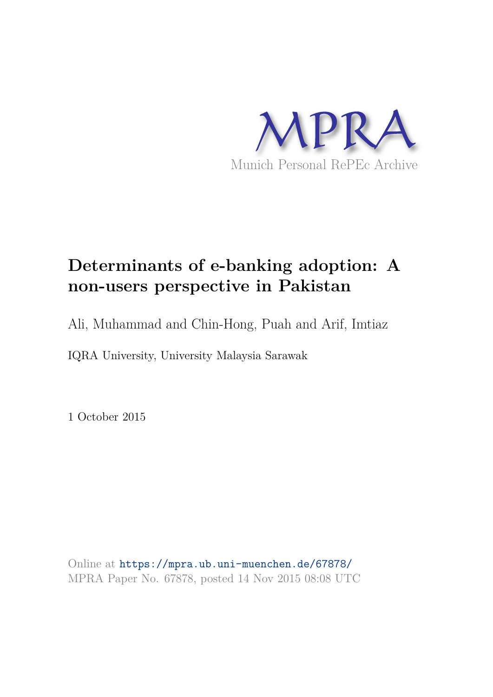

# **Determinants of e-banking adoption: A non-users perspective in Pakistan**

Ali, Muhammad and Chin-Hong, Puah and Arif, Imtiaz

IQRA University, University Malaysia Sarawak

1 October 2015

Online at https://mpra.ub.uni-muenchen.de/67878/ MPRA Paper No. 67878, posted 14 Nov 2015 08:08 UTC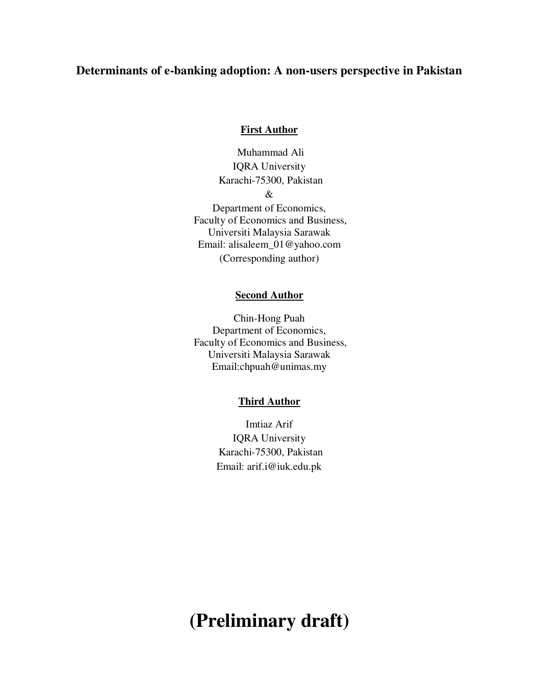# **Determinants of e-banking adoption: A non-users perspective in Pakistan**

## **First Author**

 Muhammad Ali IQRA University Karachi-75300, Pakistan & Department of Economics, Faculty of Economics and Business, Universiti Malaysia Sarawak Email: [alisaleem\\_01@yahoo.com](mailto:alisaleem_01@yahoo.com)  (Corresponding author)

## **Second Author**

Chin-Hong Puah Department of Economics, Faculty of Economics and Business, Universiti Malaysia Sarawak Email[:chpuah@unimas.my](mailto:chpuah@unimas.my) 

## **Third Author**

Imtiaz Arif IQRA University Karachi-75300, Pakistan Email: arif.i@iuk.edu.pk

# **(Preliminary draft)**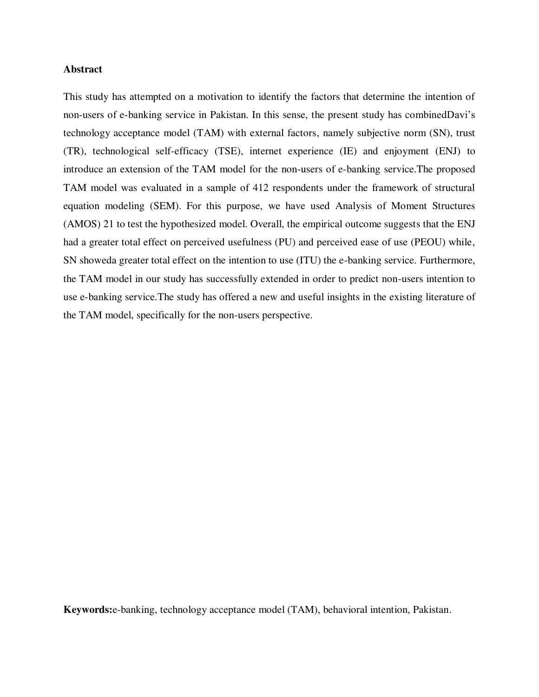## **Abstract**

This study has attempted on a motivation to identify the factors that determine the intention of non-users of e-banking service in Pakistan. In this sense, the present study has combinedDavi's technology acceptance model (TAM) with external factors, namely subjective norm (SN), trust (TR), technological self-efficacy (TSE), internet experience (IE) and enjoyment (ENJ) to introduce an extension of the TAM model for the non-users of e-banking service.The proposed TAM model was evaluated in a sample of 412 respondents under the framework of structural equation modeling (SEM). For this purpose, we have used Analysis of Moment Structures (AMOS) 21 to test the hypothesized model. Overall, the empirical outcome suggests that the ENJ had a greater total effect on perceived usefulness (PU) and perceived ease of use (PEOU) while, SN showeda greater total effect on the intention to use (ITU) the e-banking service. Furthermore, the TAM model in our study has successfully extended in order to predict non-users intention to use e-banking service.The study has offered a new and useful insights in the existing literature of the TAM model, specifically for the non-users perspective.

**Keywords:**e-banking, technology acceptance model (TAM), behavioral intention, Pakistan.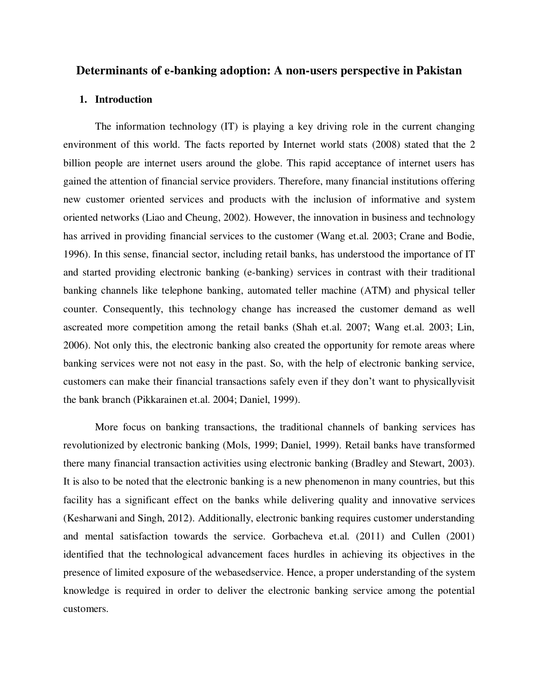## **Determinants of e-banking adoption: A non-users perspective in Pakistan**

## **1. Introduction**

The information technology (IT) is playing a key driving role in the current changing environment of this world. The facts reported by Internet world stats (2008) stated that the 2 billion people are internet users around the globe. This rapid acceptance of internet users has gained the attention of financial service providers. Therefore, many financial institutions offering new customer oriented services and products with the inclusion of informative and system oriented networks (Liao and Cheung, 2002). However, the innovation in business and technology has arrived in providing financial services to the customer (Wang et.al. 2003; Crane and Bodie, 1996). In this sense, financial sector, including retail banks, has understood the importance of IT and started providing electronic banking (e-banking) services in contrast with their traditional banking channels like telephone banking, automated teller machine (ATM) and physical teller counter. Consequently, this technology change has increased the customer demand as well ascreated more competition among the retail banks (Shah et.al. 2007; Wang et.al. 2003; Lin, 2006). Not only this, the electronic banking also created the opportunity for remote areas where banking services were not not easy in the past. So, with the help of electronic banking service, customers can make their financial transactions safely even if they don't want to physicallyvisit the bank branch (Pikkarainen et.al. 2004; Daniel, 1999).

 More focus on banking transactions, the traditional channels of banking services has revolutionized by electronic banking (Mols, 1999; Daniel, 1999). Retail banks have transformed there many financial transaction activities using electronic banking (Bradley and Stewart, 2003). It is also to be noted that the electronic banking is a new phenomenon in many countries, but this facility has a significant effect on the banks while delivering quality and innovative services (Kesharwani and Singh, 2012). Additionally, electronic banking requires customer understanding and mental satisfaction towards the service. Gorbacheva et.al. (2011) and Cullen (2001) identified that the technological advancement faces hurdles in achieving its objectives in the presence of limited exposure of the webasedservice. Hence, a proper understanding of the system knowledge is required in order to deliver the electronic banking service among the potential customers.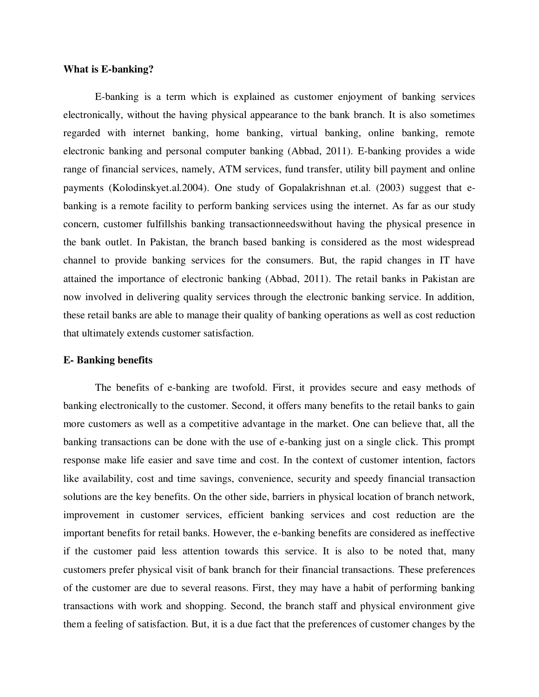## **What is E-banking?**

E-banking is a term which is explained as customer enjoyment of banking services electronically, without the having physical appearance to the bank branch. It is also sometimes regarded with internet banking, home banking, virtual banking, online banking, remote electronic banking and personal computer banking (Abbad, 2011). E-banking provides a wide range of financial services, namely, ATM services, fund transfer, utility bill payment and online payments (Kolodinskyet.al.2004). One study of Gopalakrishnan et.al. (2003) suggest that ebanking is a remote facility to perform banking services using the internet. As far as our study concern, customer fulfillshis banking transactionneedswithout having the physical presence in the bank outlet. In Pakistan, the branch based banking is considered as the most widespread channel to provide banking services for the consumers. But, the rapid changes in IT have attained the importance of electronic banking (Abbad, 2011). The retail banks in Pakistan are now involved in delivering quality services through the electronic banking service. In addition, these retail banks are able to manage their quality of banking operations as well as cost reduction that ultimately extends customer satisfaction.

#### **E- Banking benefits**

The benefits of e-banking are twofold. First, it provides secure and easy methods of banking electronically to the customer. Second, it offers many benefits to the retail banks to gain more customers as well as a competitive advantage in the market. One can believe that, all the banking transactions can be done with the use of e-banking just on a single click. This prompt response make life easier and save time and cost. In the context of customer intention, factors like availability, cost and time savings, convenience, security and speedy financial transaction solutions are the key benefits. On the other side, barriers in physical location of branch network, improvement in customer services, efficient banking services and cost reduction are the important benefits for retail banks. However, the e-banking benefits are considered as ineffective if the customer paid less attention towards this service. It is also to be noted that, many customers prefer physical visit of bank branch for their financial transactions. These preferences of the customer are due to several reasons. First, they may have a habit of performing banking transactions with work and shopping. Second, the branch staff and physical environment give them a feeling of satisfaction. But, it is a due fact that the preferences of customer changes by the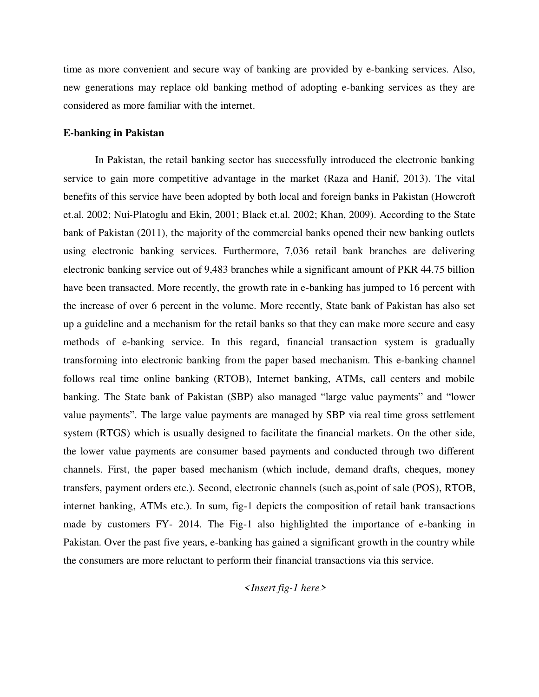time as more convenient and secure way of banking are provided by e-banking services. Also, new generations may replace old banking method of adopting e-banking services as they are considered as more familiar with the internet.

## **E-banking in Pakistan**

In Pakistan, the retail banking sector has successfully introduced the electronic banking service to gain more competitive advantage in the market (Raza and Hanif, 2013). The vital benefits of this service have been adopted by both local and foreign banks in Pakistan (Howcroft et.al. 2002; Nui-Platoglu and Ekin, 2001; Black et.al. 2002; Khan, 2009). According to the State bank of Pakistan (2011), the majority of the commercial banks opened their new banking outlets using electronic banking services. Furthermore, 7,036 retail bank branches are delivering electronic banking service out of 9,483 branches while a significant amount of PKR 44.75 billion have been transacted. More recently, the growth rate in e-banking has jumped to 16 percent with the increase of over 6 percent in the volume. More recently, State bank of Pakistan has also set up a guideline and a mechanism for the retail banks so that they can make more secure and easy methods of e-banking service. In this regard, financial transaction system is gradually transforming into electronic banking from the paper based mechanism. This e-banking channel follows real time online banking (RTOB), Internet banking, ATMs, call centers and mobile banking. The State bank of Pakistan (SBP) also managed "large value payments" and "lower value payments". The large value payments are managed by SBP via real time gross settlement system (RTGS) which is usually designed to facilitate the financial markets. On the other side, the lower value payments are consumer based payments and conducted through two different channels. First, the paper based mechanism (which include, demand drafts, cheques, money transfers, payment orders etc.). Second, electronic channels (such as,point of sale (POS), RTOB, internet banking, ATMs etc.). In sum, fig-1 depicts the composition of retail bank transactions made by customers FY- 2014. The Fig-1 also highlighted the importance of e-banking in Pakistan. Over the past five years, e-banking has gained a significant growth in the country while the consumers are more reluctant to perform their financial transactions via this service.

## *<Insert fig-1 here>*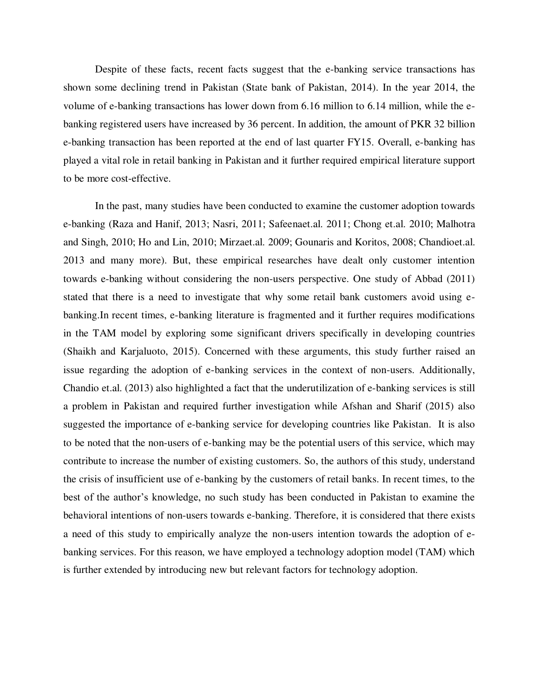Despite of these facts, recent facts suggest that the e-banking service transactions has shown some declining trend in Pakistan (State bank of Pakistan, 2014). In the year 2014, the volume of e-banking transactions has lower down from 6.16 million to 6.14 million, while the ebanking registered users have increased by 36 percent. In addition, the amount of PKR 32 billion e-banking transaction has been reported at the end of last quarter FY15. Overall, e-banking has played a vital role in retail banking in Pakistan and it further required empirical literature support to be more cost-effective.

In the past, many studies have been conducted to examine the customer adoption towards e-banking (Raza and Hanif, 2013; Nasri, 2011; Safeenaet.al. 2011; Chong et.al. 2010; Malhotra and Singh, 2010; Ho and Lin, 2010; Mirzaet.al. 2009; Gounaris and Koritos, 2008; Chandioet.al. 2013 and many more). But, these empirical researches have dealt only customer intention towards e-banking without considering the non-users perspective. One study of Abbad (2011) stated that there is a need to investigate that why some retail bank customers avoid using ebanking.In recent times, e-banking literature is fragmented and it further requires modifications in the TAM model by exploring some significant drivers specifically in developing countries (Shaikh and Karjaluoto, 2015). Concerned with these arguments, this study further raised an issue regarding the adoption of e-banking services in the context of non-users. Additionally, Chandio et.al. (2013) also highlighted a fact that the underutilization of e-banking services is still a problem in Pakistan and required further investigation while Afshan and Sharif (2015) also suggested the importance of e-banking service for developing countries like Pakistan. It is also to be noted that the non-users of e-banking may be the potential users of this service, which may contribute to increase the number of existing customers. So, the authors of this study, understand the crisis of insufficient use of e-banking by the customers of retail banks. In recent times, to the best of the author's knowledge, no such study has been conducted in Pakistan to examine the behavioral intentions of non-users towards e-banking. Therefore, it is considered that there exists a need of this study to empirically analyze the non-users intention towards the adoption of ebanking services. For this reason, we have employed a technology adoption model (TAM) which is further extended by introducing new but relevant factors for technology adoption.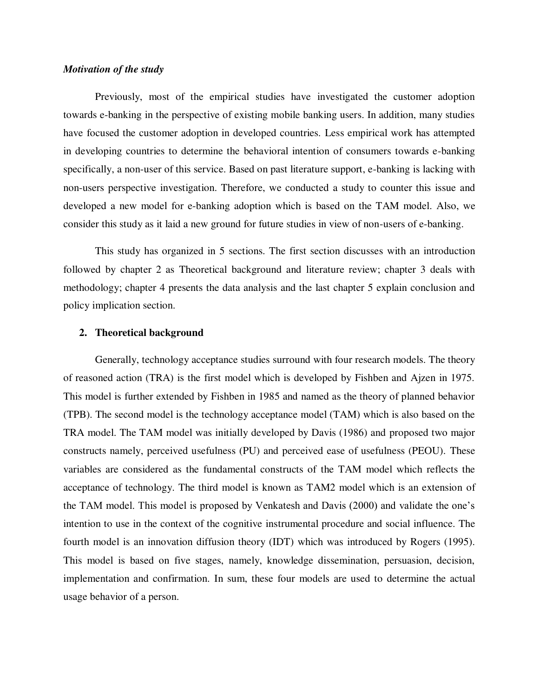## *Motivation of the study*

 Previously, most of the empirical studies have investigated the customer adoption towards e-banking in the perspective of existing mobile banking users. In addition, many studies have focused the customer adoption in developed countries. Less empirical work has attempted in developing countries to determine the behavioral intention of consumers towards e-banking specifically, a non-user of this service. Based on past literature support, e-banking is lacking with non-users perspective investigation. Therefore, we conducted a study to counter this issue and developed a new model for e-banking adoption which is based on the TAM model. Also, we consider this study as it laid a new ground for future studies in view of non-users of e-banking.

 This study has organized in 5 sections. The first section discusses with an introduction followed by chapter 2 as Theoretical background and literature review; chapter 3 deals with methodology; chapter 4 presents the data analysis and the last chapter 5 explain conclusion and policy implication section.

#### **2. Theoretical background**

Generally, technology acceptance studies surround with four research models. The theory of reasoned action (TRA) is the first model which is developed by Fishben and Ajzen in 1975. This model is further extended by Fishben in 1985 and named as the theory of planned behavior (TPB). The second model is the technology acceptance model (TAM) which is also based on the TRA model. The TAM model was initially developed by Davis (1986) and proposed two major constructs namely, perceived usefulness (PU) and perceived ease of usefulness (PEOU). These variables are considered as the fundamental constructs of the TAM model which reflects the acceptance of technology. The third model is known as TAM2 model which is an extension of the TAM model. This model is proposed by Venkatesh and Davis (2000) and validate the one's intention to use in the context of the cognitive instrumental procedure and social influence. The fourth model is an innovation diffusion theory (IDT) which was introduced by Rogers (1995). This model is based on five stages, namely, knowledge dissemination, persuasion, decision, implementation and confirmation. In sum, these four models are used to determine the actual usage behavior of a person.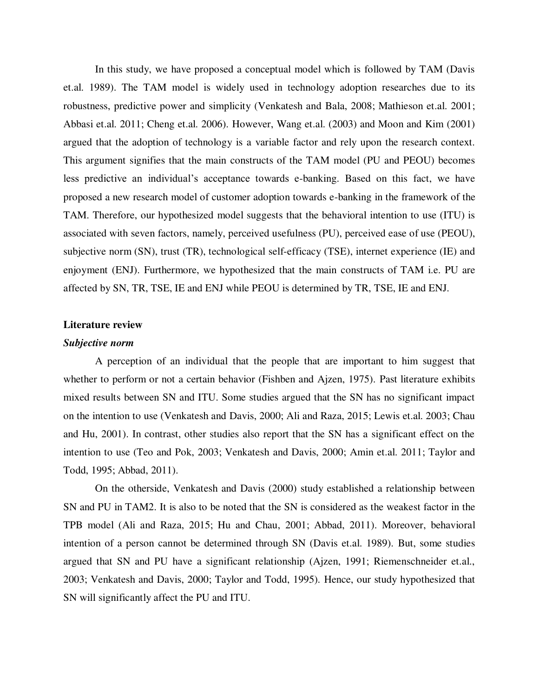In this study, we have proposed a conceptual model which is followed by TAM (Davis et.al. 1989). The TAM model is widely used in technology adoption researches due to its robustness, predictive power and simplicity (Venkatesh and Bala, 2008; Mathieson et.al. 2001; Abbasi et.al. 2011; Cheng et.al. 2006). However, Wang et.al. (2003) and Moon and Kim (2001) argued that the adoption of technology is a variable factor and rely upon the research context. This argument signifies that the main constructs of the TAM model (PU and PEOU) becomes less predictive an individual's acceptance towards e-banking. Based on this fact, we have proposed a new research model of customer adoption towards e-banking in the framework of the TAM. Therefore, our hypothesized model suggests that the behavioral intention to use (ITU) is associated with seven factors, namely, perceived usefulness (PU), perceived ease of use (PEOU), subjective norm (SN), trust (TR), technological self-efficacy (TSE), internet experience (IE) and enjoyment (ENJ). Furthermore, we hypothesized that the main constructs of TAM i.e. PU are affected by SN, TR, TSE, IE and ENJ while PEOU is determined by TR, TSE, IE and ENJ.

#### **Literature review**

## *Subjective norm*

A perception of an individual that the people that are important to him suggest that whether to perform or not a certain behavior (Fishben and Ajzen, 1975). Past literature exhibits mixed results between SN and ITU. Some studies argued that the SN has no significant impact on the intention to use (Venkatesh and Davis, 2000; Ali and Raza, 2015; Lewis et.al. 2003; Chau and Hu, 2001). In contrast, other studies also report that the SN has a significant effect on the intention to use (Teo and Pok, 2003; Venkatesh and Davis, 2000; Amin et.al. 2011; Taylor and Todd, 1995; Abbad, 2011).

On the otherside, Venkatesh and Davis (2000) study established a relationship between SN and PU in TAM2. It is also to be noted that the SN is considered as the weakest factor in the TPB model (Ali and Raza, 2015; Hu and Chau, 2001; Abbad, 2011). Moreover, behavioral intention of a person cannot be determined through SN (Davis et.al. 1989). But, some studies argued that SN and PU have a significant relationship (Ajzen, 1991; Riemenschneider et.al., 2003; Venkatesh and Davis, 2000; Taylor and Todd, 1995). Hence, our study hypothesized that SN will significantly affect the PU and ITU.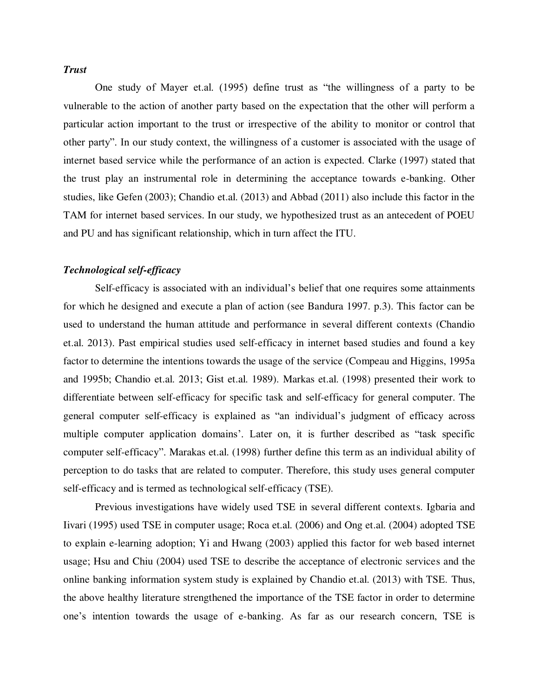## *Trust*

One study of Mayer et.al. (1995) define trust as "the willingness of a party to be vulnerable to the action of another party based on the expectation that the other will perform a particular action important to the trust or irrespective of the ability to monitor or control that other party". In our study context, the willingness of a customer is associated with the usage of internet based service while the performance of an action is expected. Clarke (1997) stated that the trust play an instrumental role in determining the acceptance towards e-banking. Other studies, like Gefen (2003); Chandio et.al. (2013) and Abbad (2011) also include this factor in the TAM for internet based services. In our study, we hypothesized trust as an antecedent of POEU and PU and has significant relationship, which in turn affect the ITU.

## *Technological self-efficacy*

Self-efficacy is associated with an individual's belief that one requires some attainments for which he designed and execute a plan of action (see Bandura 1997. p.3). This factor can be used to understand the human attitude and performance in several different contexts (Chandio et.al. 2013). Past empirical studies used self-efficacy in internet based studies and found a key factor to determine the intentions towards the usage of the service (Compeau and Higgins, 1995a and 1995b; Chandio et.al. 2013; Gist et.al. 1989). Markas et.al. (1998) presented their work to differentiate between self-efficacy for specific task and self-efficacy for general computer. The general computer self-efficacy is explained as "an individual's judgment of efficacy across multiple computer application domains'. Later on, it is further described as "task specific computer self-efficacy". Marakas et.al. (1998) further define this term as an individual ability of perception to do tasks that are related to computer. Therefore, this study uses general computer self-efficacy and is termed as technological self-efficacy (TSE).

 Previous investigations have widely used TSE in several different contexts. Igbaria and Iivari (1995) used TSE in computer usage; Roca et.al. (2006) and Ong et.al. (2004) adopted TSE to explain e-learning adoption; Yi and Hwang (2003) applied this factor for web based internet usage; Hsu and Chiu (2004) used TSE to describe the acceptance of electronic services and the online banking information system study is explained by Chandio et.al. (2013) with TSE. Thus, the above healthy literature strengthened the importance of the TSE factor in order to determine one's intention towards the usage of e-banking. As far as our research concern, TSE is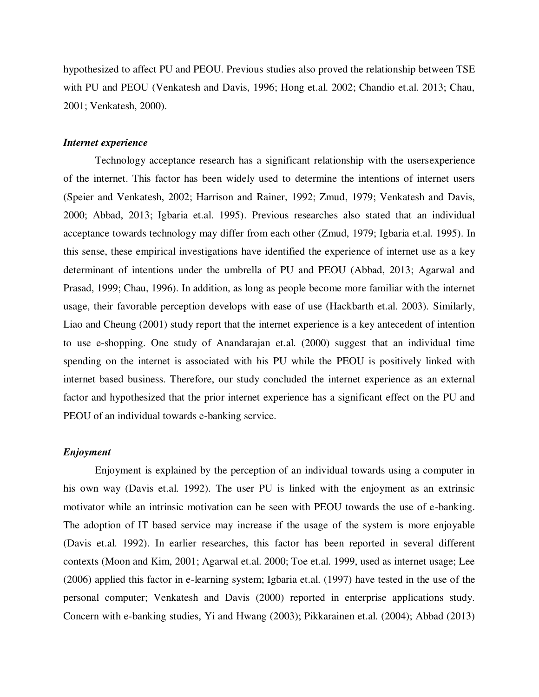hypothesized to affect PU and PEOU. Previous studies also proved the relationship between TSE with PU and PEOU (Venkatesh and Davis, 1996; Hong et.al. 2002; Chandio et.al. 2013; Chau, 2001; Venkatesh, 2000).

## *Internet experience*

Technology acceptance research has a significant relationship with the usersexperience of the internet. This factor has been widely used to determine the intentions of internet users (Speier and Venkatesh, 2002; Harrison and Rainer, 1992; Zmud, 1979; Venkatesh and Davis, 2000; Abbad, 2013; Igbaria et.al. 1995). Previous researches also stated that an individual acceptance towards technology may differ from each other (Zmud, 1979; Igbaria et.al. 1995). In this sense, these empirical investigations have identified the experience of internet use as a key determinant of intentions under the umbrella of PU and PEOU (Abbad, 2013; Agarwal and Prasad, 1999; Chau, 1996). In addition, as long as people become more familiar with the internet usage, their favorable perception develops with ease of use (Hackbarth et.al. 2003). Similarly, Liao and Cheung (2001) study report that the internet experience is a key antecedent of intention to use e-shopping. One study of Anandarajan et.al. (2000) suggest that an individual time spending on the internet is associated with his PU while the PEOU is positively linked with internet based business. Therefore, our study concluded the internet experience as an external factor and hypothesized that the prior internet experience has a significant effect on the PU and PEOU of an individual towards e-banking service.

## *Enjoyment*

Enjoyment is explained by the perception of an individual towards using a computer in his own way (Davis et.al. 1992). The user PU is linked with the enjoyment as an extrinsic motivator while an intrinsic motivation can be seen with PEOU towards the use of e-banking. The adoption of IT based service may increase if the usage of the system is more enjoyable (Davis et.al. 1992). In earlier researches, this factor has been reported in several different contexts (Moon and Kim, 2001; Agarwal et.al. 2000; Toe et.al. 1999, used as internet usage; Lee (2006) applied this factor in e-learning system; Igbaria et.al. (1997) have tested in the use of the personal computer; Venkatesh and Davis (2000) reported in enterprise applications study. Concern with e-banking studies, Yi and Hwang (2003); Pikkarainen et.al. (2004); Abbad (2013)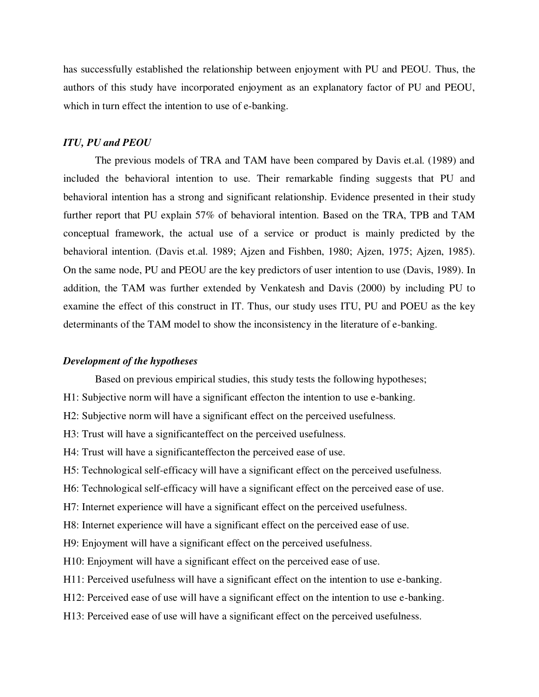has successfully established the relationship between enjoyment with PU and PEOU. Thus, the authors of this study have incorporated enjoyment as an explanatory factor of PU and PEOU, which in turn effect the intention to use of e-banking.

## *ITU, PU and PEOU*

The previous models of TRA and TAM have been compared by Davis et.al. (1989) and included the behavioral intention to use. Their remarkable finding suggests that PU and behavioral intention has a strong and significant relationship. Evidence presented in their study further report that PU explain 57% of behavioral intention. Based on the TRA, TPB and TAM conceptual framework, the actual use of a service or product is mainly predicted by the behavioral intention. (Davis et.al. 1989; Ajzen and Fishben, 1980; Ajzen, 1975; Ajzen, 1985). On the same node, PU and PEOU are the key predictors of user intention to use (Davis, 1989). In addition, the TAM was further extended by Venkatesh and Davis (2000) by including PU to examine the effect of this construct in IT. Thus, our study uses ITU, PU and POEU as the key determinants of the TAM model to show the inconsistency in the literature of e-banking.

## *Development of the hypotheses*

Based on previous empirical studies, this study tests the following hypotheses;

- H1: Subjective norm will have a significant effecton the intention to use e-banking.
- H2: Subjective norm will have a significant effect on the perceived usefulness.
- H3: Trust will have a significanteffect on the perceived usefulness.
- H4: Trust will have a significanteffecton the perceived ease of use.
- H5: Technological self-efficacy will have a significant effect on the perceived usefulness.
- H6: Technological self-efficacy will have a significant effect on the perceived ease of use.
- H7: Internet experience will have a significant effect on the perceived usefulness.
- H8: Internet experience will have a significant effect on the perceived ease of use.
- H9: Enjoyment will have a significant effect on the perceived usefulness.
- H10: Enjoyment will have a significant effect on the perceived ease of use.
- H11: Perceived usefulness will have a significant effect on the intention to use e-banking.
- H12: Perceived ease of use will have a significant effect on the intention to use e-banking.
- H13: Perceived ease of use will have a significant effect on the perceived usefulness.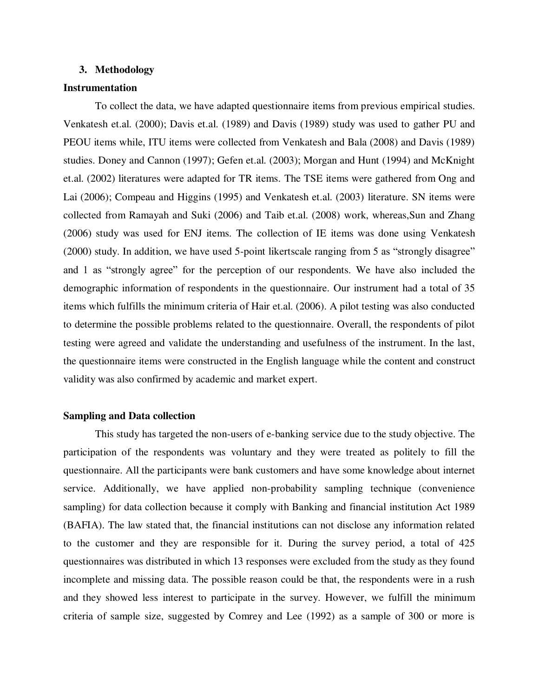## **3. Methodology**

## **Instrumentation**

To collect the data, we have adapted questionnaire items from previous empirical studies. Venkatesh et.al. (2000); Davis et.al. (1989) and Davis (1989) study was used to gather PU and PEOU items while, ITU items were collected from Venkatesh and Bala (2008) and Davis (1989) studies. Doney and Cannon (1997); Gefen et.al. (2003); Morgan and Hunt (1994) and McKnight et.al. (2002) literatures were adapted for TR items. The TSE items were gathered from Ong and Lai (2006); Compeau and Higgins (1995) and Venkatesh et.al. (2003) literature. SN items were collected from Ramayah and Suki (2006) and Taib et.al. (2008) work, whereas,Sun and Zhang (2006) study was used for ENJ items. The collection of IE items was done using Venkatesh (2000) study. In addition, we have used 5-point likertscale ranging from 5 as "strongly disagree" and 1 as "strongly agree" for the perception of our respondents. We have also included the demographic information of respondents in the questionnaire. Our instrument had a total of 35 items which fulfills the minimum criteria of Hair et.al. (2006). A pilot testing was also conducted to determine the possible problems related to the questionnaire. Overall, the respondents of pilot testing were agreed and validate the understanding and usefulness of the instrument. In the last, the questionnaire items were constructed in the English language while the content and construct validity was also confirmed by academic and market expert.

## **Sampling and Data collection**

This study has targeted the non-users of e-banking service due to the study objective. The participation of the respondents was voluntary and they were treated as politely to fill the questionnaire. All the participants were bank customers and have some knowledge about internet service. Additionally, we have applied non-probability sampling technique (convenience sampling) for data collection because it comply with Banking and financial institution Act 1989 (BAFIA). The law stated that, the financial institutions can not disclose any information related to the customer and they are responsible for it. During the survey period, a total of 425 questionnaires was distributed in which 13 responses were excluded from the study as they found incomplete and missing data. The possible reason could be that, the respondents were in a rush and they showed less interest to participate in the survey. However, we fulfill the minimum criteria of sample size, suggested by Comrey and Lee (1992) as a sample of 300 or more is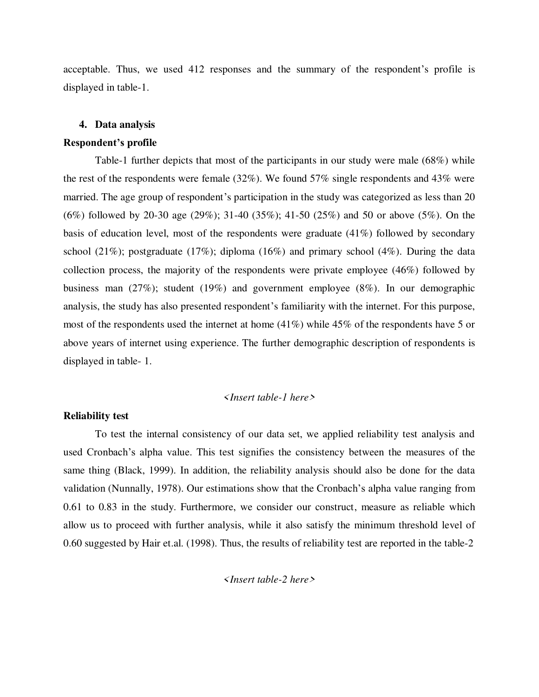acceptable. Thus, we used 412 responses and the summary of the respondent's profile is displayed in table-1.

## **4. Data analysis**

## **Respondent's profile**

Table-1 further depicts that most of the participants in our study were male (68%) while the rest of the respondents were female (32%). We found 57% single respondents and 43% were married. The age group of respondent's participation in the study was categorized as less than 20 (6%) followed by 20-30 age (29%); 31-40 (35%); 41-50 (25%) and 50 or above (5%). On the basis of education level, most of the respondents were graduate (41%) followed by secondary school (21%); postgraduate (17%); diploma (16%) and primary school (4%). During the data collection process, the majority of the respondents were private employee (46%) followed by business man (27%); student (19%) and government employee (8%). In our demographic analysis, the study has also presented respondent's familiarity with the internet. For this purpose, most of the respondents used the internet at home (41%) while 45% of the respondents have 5 or above years of internet using experience. The further demographic description of respondents is displayed in table- 1.

## *<Insert table-1 here>*

## **Reliability test**

To test the internal consistency of our data set, we applied reliability test analysis and used Cronbach's alpha value. This test signifies the consistency between the measures of the same thing (Black, 1999). In addition, the reliability analysis should also be done for the data validation (Nunnally, 1978). Our estimations show that the Cronbach's alpha value ranging from 0.61 to 0.83 in the study. Furthermore, we consider our construct, measure as reliable which allow us to proceed with further analysis, while it also satisfy the minimum threshold level of 0.60 suggested by Hair et.al. (1998). Thus, the results of reliability test are reported in the table-2

*<Insert table-2 here>*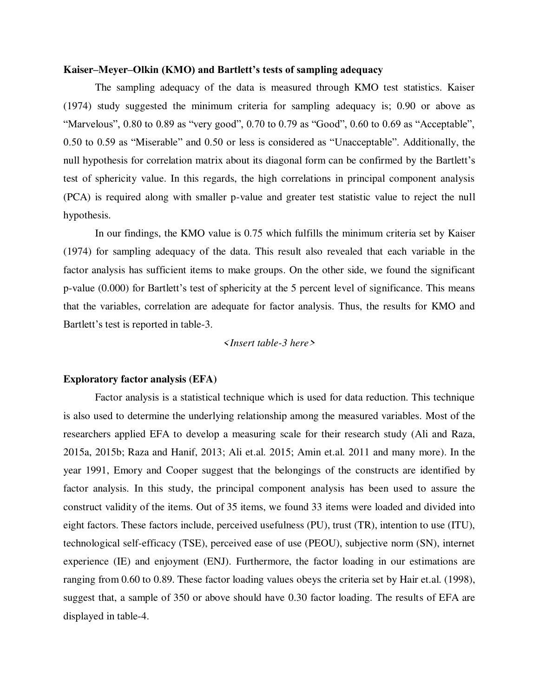## **Kaiser–Meyer–Olkin (KMO) and Bartlett's tests of sampling adequacy**

The sampling adequacy of the data is measured through KMO test statistics. Kaiser (1974) study suggested the minimum criteria for sampling adequacy is; 0.90 or above as "Marvelous", 0.80 to 0.89 as "very good", 0.70 to 0.79 as "Good", 0.60 to 0.69 as "Acceptable", 0.50 to 0.59 as "Miserable" and 0.50 or less is considered as "Unacceptable". Additionally, the null hypothesis for correlation matrix about its diagonal form can be confirmed by the Bartlett's test of sphericity value. In this regards, the high correlations in principal component analysis (PCA) is required along with smaller p-value and greater test statistic value to reject the null hypothesis.

In our findings, the KMO value is 0.75 which fulfills the minimum criteria set by Kaiser (1974) for sampling adequacy of the data. This result also revealed that each variable in the factor analysis has sufficient items to make groups. On the other side, we found the significant p-value (0.000) for Bartlett's test of sphericity at the 5 percent level of significance. This means that the variables, correlation are adequate for factor analysis. Thus, the results for KMO and Bartlett's test is reported in table-3.

#### *<Insert table-3 here>*

### **Exploratory factor analysis (EFA)**

Factor analysis is a statistical technique which is used for data reduction. This technique is also used to determine the underlying relationship among the measured variables. Most of the researchers applied EFA to develop a measuring scale for their research study (Ali and Raza, 2015a, 2015b; Raza and Hanif, 2013; Ali et.al. 2015; Amin et.al. 2011 and many more). In the year 1991, Emory and Cooper suggest that the belongings of the constructs are identified by factor analysis. In this study, the principal component analysis has been used to assure the construct validity of the items. Out of 35 items, we found 33 items were loaded and divided into eight factors. These factors include, perceived usefulness (PU), trust (TR), intention to use (ITU), technological self-efficacy (TSE), perceived ease of use (PEOU), subjective norm (SN), internet experience (IE) and enjoyment (ENJ). Furthermore, the factor loading in our estimations are ranging from 0.60 to 0.89. These factor loading values obeys the criteria set by Hair et.al. (1998), suggest that, a sample of 350 or above should have 0.30 factor loading. The results of EFA are displayed in table-4.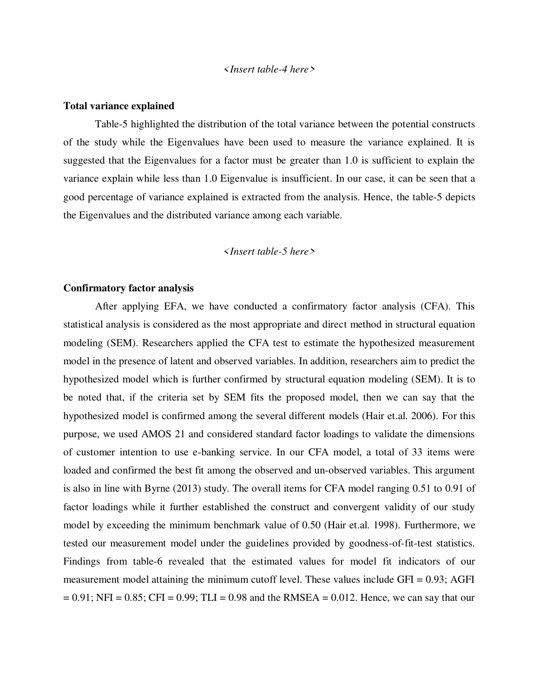## *<Insert table-4 here>*

## **Total variance explained**

Table-5 highlighted the distribution of the total variance between the potential constructs of the study while the Eigenvalues have been used to measure the variance explained. It is suggested that the Eigenvalues for a factor must be greater than 1.0 is sufficient to explain the variance explain while less than 1.0 Eigenvalue is insufficient. In our case, it can be seen that a good percentage of variance explained is extracted from the analysis. Hence, the table-5 depicts the Eigenvalues and the distributed variance among each variable.

## *<Insert table-5 here>*

## **Confirmatory factor analysis**

 After applying EFA, we have conducted a confirmatory factor analysis (CFA). This statistical analysis is considered as the most appropriate and direct method in structural equation modeling (SEM). Researchers applied the CFA test to estimate the hypothesized measurement model in the presence of latent and observed variables. In addition, researchers aim to predict the hypothesized model which is further confirmed by structural equation modeling (SEM). It is to be noted that, if the criteria set by SEM fits the proposed model, then we can say that the hypothesized model is confirmed among the several different models (Hair et.al. 2006). For this purpose, we used AMOS 21 and considered standard factor loadings to validate the dimensions of customer intention to use e-banking service. In our CFA model, a total of 33 items were loaded and confirmed the best fit among the observed and un-observed variables. This argument is also in line with Byrne (2013) study. The overall items for CFA model ranging 0.51 to 0.91 of factor loadings while it further established the construct and convergent validity of our study model by exceeding the minimum benchmark value of 0.50 (Hair et.al. 1998). Furthermore, we tested our measurement model under the guidelines provided by goodness-of-fit-test statistics. Findings from table-6 revealed that the estimated values for model fit indicators of our measurement model attaining the minimum cutoff level. These values include  $GFI = 0.93$ ; AGFI  $= 0.91$ ; NFI = 0.85; CFI = 0.99; TLI = 0.98 and the RMSEA = 0.012. Hence, we can say that our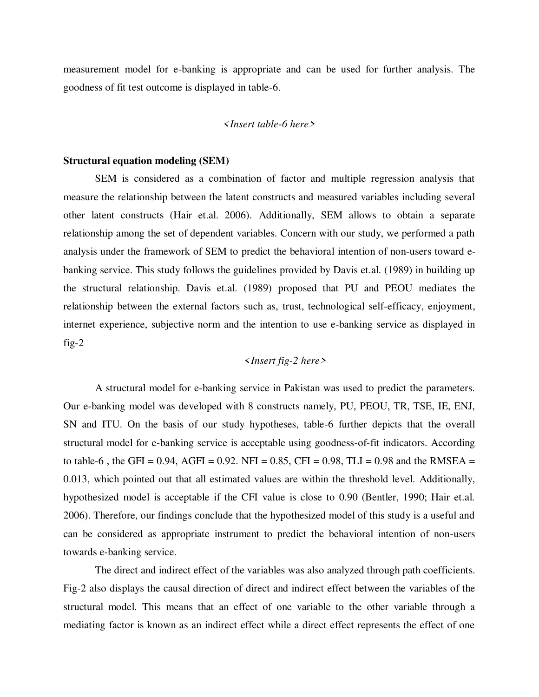measurement model for e-banking is appropriate and can be used for further analysis. The goodness of fit test outcome is displayed in table-6.

#### *<Insert table-6 here>*

## **Structural equation modeling (SEM)**

SEM is considered as a combination of factor and multiple regression analysis that measure the relationship between the latent constructs and measured variables including several other latent constructs (Hair et.al. 2006). Additionally, SEM allows to obtain a separate relationship among the set of dependent variables. Concern with our study, we performed a path analysis under the framework of SEM to predict the behavioral intention of non-users toward ebanking service. This study follows the guidelines provided by Davis et.al. (1989) in building up the structural relationship. Davis et.al. (1989) proposed that PU and PEOU mediates the relationship between the external factors such as, trust, technological self-efficacy, enjoyment, internet experience, subjective norm and the intention to use e-banking service as displayed in fig-2

## *<Insert fig-2 here>*

A structural model for e-banking service in Pakistan was used to predict the parameters. Our e-banking model was developed with 8 constructs namely, PU, PEOU, TR, TSE, IE, ENJ, SN and ITU. On the basis of our study hypotheses, table-6 further depicts that the overall structural model for e-banking service is acceptable using goodness-of-fit indicators. According to table-6, the GFI = 0.94, AGFI = 0.92. NFI = 0.85, CFI = 0.98, TLI = 0.98 and the RMSEA = 0.013, which pointed out that all estimated values are within the threshold level. Additionally, hypothesized model is acceptable if the CFI value is close to 0.90 (Bentler, 1990; Hair et.al. 2006). Therefore, our findings conclude that the hypothesized model of this study is a useful and can be considered as appropriate instrument to predict the behavioral intention of non-users towards e-banking service.

 The direct and indirect effect of the variables was also analyzed through path coefficients. Fig-2 also displays the causal direction of direct and indirect effect between the variables of the structural model. This means that an effect of one variable to the other variable through a mediating factor is known as an indirect effect while a direct effect represents the effect of one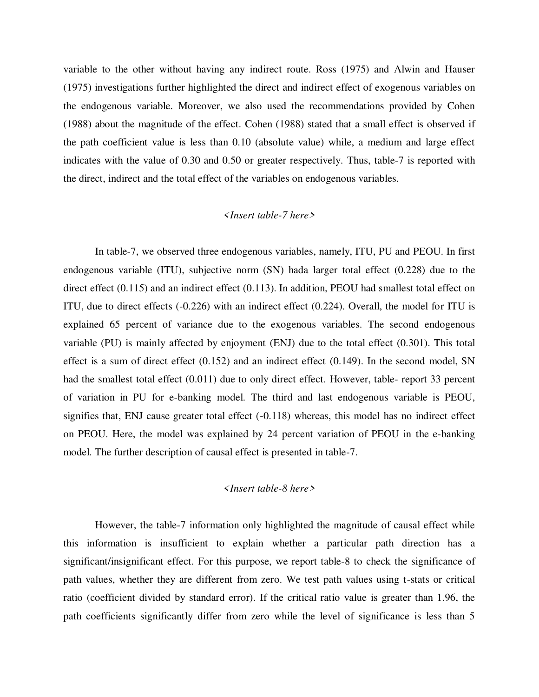variable to the other without having any indirect route. Ross (1975) and Alwin and Hauser (1975) investigations further highlighted the direct and indirect effect of exogenous variables on the endogenous variable. Moreover, we also used the recommendations provided by Cohen (1988) about the magnitude of the effect. Cohen (1988) stated that a small effect is observed if the path coefficient value is less than 0.10 (absolute value) while, a medium and large effect indicates with the value of 0.30 and 0.50 or greater respectively. Thus, table-7 is reported with the direct, indirect and the total effect of the variables on endogenous variables.

## *<Insert table-7 here>*

In table-7, we observed three endogenous variables, namely, ITU, PU and PEOU. In first endogenous variable (ITU), subjective norm (SN) hada larger total effect (0.228) due to the direct effect (0.115) and an indirect effect (0.113). In addition, PEOU had smallest total effect on ITU, due to direct effects (-0.226) with an indirect effect (0.224). Overall, the model for ITU is explained 65 percent of variance due to the exogenous variables. The second endogenous variable (PU) is mainly affected by enjoyment (ENJ) due to the total effect (0.301). This total effect is a sum of direct effect (0.152) and an indirect effect (0.149). In the second model, SN had the smallest total effect (0.011) due to only direct effect. However, table- report 33 percent of variation in PU for e-banking model. The third and last endogenous variable is PEOU, signifies that, ENJ cause greater total effect (-0.118) whereas, this model has no indirect effect on PEOU. Here, the model was explained by 24 percent variation of PEOU in the e-banking model. The further description of causal effect is presented in table-7.

## *<Insert table-8 here>*

However, the table-7 information only highlighted the magnitude of causal effect while this information is insufficient to explain whether a particular path direction has a significant/insignificant effect. For this purpose, we report table-8 to check the significance of path values, whether they are different from zero. We test path values using t-stats or critical ratio (coefficient divided by standard error). If the critical ratio value is greater than 1.96, the path coefficients significantly differ from zero while the level of significance is less than 5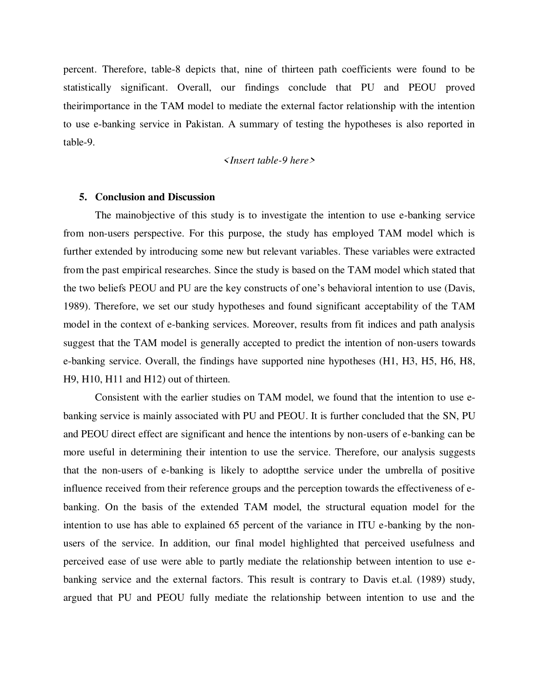percent. Therefore, table-8 depicts that, nine of thirteen path coefficients were found to be statistically significant. Overall, our findings conclude that PU and PEOU proved theirimportance in the TAM model to mediate the external factor relationship with the intention to use e-banking service in Pakistan. A summary of testing the hypotheses is also reported in table-9.

## *<Insert table-9 here>*

## **5. Conclusion and Discussion**

The mainobjective of this study is to investigate the intention to use e-banking service from non-users perspective. For this purpose, the study has employed TAM model which is further extended by introducing some new but relevant variables. These variables were extracted from the past empirical researches. Since the study is based on the TAM model which stated that the two beliefs PEOU and PU are the key constructs of one's behavioral intention to use (Davis, 1989). Therefore, we set our study hypotheses and found significant acceptability of the TAM model in the context of e-banking services. Moreover, results from fit indices and path analysis suggest that the TAM model is generally accepted to predict the intention of non-users towards e-banking service. Overall, the findings have supported nine hypotheses (H1, H3, H5, H6, H8, H9, H10, H11 and H12) out of thirteen.

 Consistent with the earlier studies on TAM model, we found that the intention to use ebanking service is mainly associated with PU and PEOU. It is further concluded that the SN, PU and PEOU direct effect are significant and hence the intentions by non-users of e-banking can be more useful in determining their intention to use the service. Therefore, our analysis suggests that the non-users of e-banking is likely to adoptthe service under the umbrella of positive influence received from their reference groups and the perception towards the effectiveness of ebanking. On the basis of the extended TAM model, the structural equation model for the intention to use has able to explained 65 percent of the variance in ITU e-banking by the nonusers of the service. In addition, our final model highlighted that perceived usefulness and perceived ease of use were able to partly mediate the relationship between intention to use ebanking service and the external factors. This result is contrary to Davis et.al. (1989) study, argued that PU and PEOU fully mediate the relationship between intention to use and the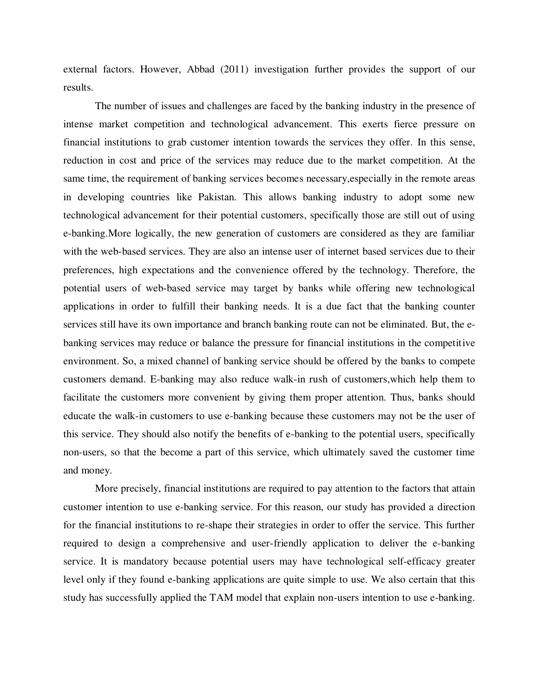external factors. However, Abbad (2011) investigation further provides the support of our results.

The number of issues and challenges are faced by the banking industry in the presence of intense market competition and technological advancement. This exerts fierce pressure on financial institutions to grab customer intention towards the services they offer. In this sense, reduction in cost and price of the services may reduce due to the market competition. At the same time, the requirement of banking services becomes necessary,especially in the remote areas in developing countries like Pakistan. This allows banking industry to adopt some new technological advancement for their potential customers, specifically those are still out of using e-banking.More logically, the new generation of customers are considered as they are familiar with the web-based services. They are also an intense user of internet based services due to their preferences, high expectations and the convenience offered by the technology. Therefore, the potential users of web-based service may target by banks while offering new technological applications in order to fulfill their banking needs. It is a due fact that the banking counter services still have its own importance and branch banking route can not be eliminated. But, the ebanking services may reduce or balance the pressure for financial institutions in the competitive environment. So, a mixed channel of banking service should be offered by the banks to compete customers demand. E-banking may also reduce walk-in rush of customers,which help them to facilitate the customers more convenient by giving them proper attention. Thus, banks should educate the walk-in customers to use e-banking because these customers may not be the user of this service. They should also notify the benefits of e-banking to the potential users, specifically non-users, so that the become a part of this service, which ultimately saved the customer time and money.

More precisely, financial institutions are required to pay attention to the factors that attain customer intention to use e-banking service. For this reason, our study has provided a direction for the financial institutions to re-shape their strategies in order to offer the service. This further required to design a comprehensive and user-friendly application to deliver the e-banking service. It is mandatory because potential users may have technological self-efficacy greater level only if they found e-banking applications are quite simple to use. We also certain that this study has successfully applied the TAM model that explain non-users intention to use e-banking.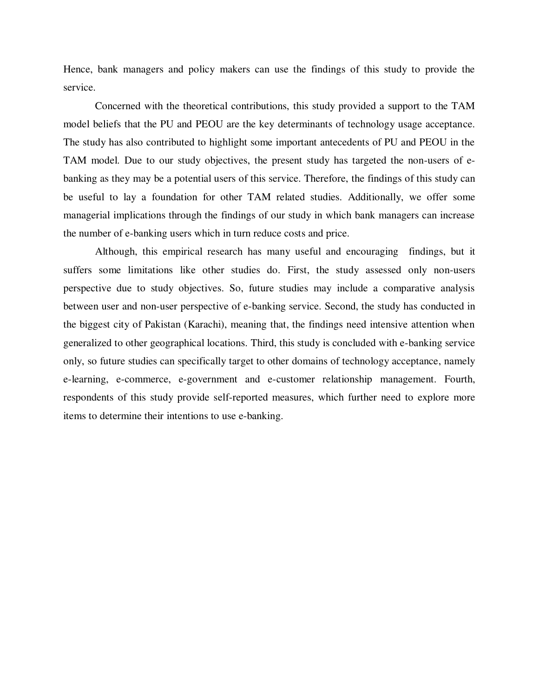Hence, bank managers and policy makers can use the findings of this study to provide the service.

Concerned with the theoretical contributions, this study provided a support to the TAM model beliefs that the PU and PEOU are the key determinants of technology usage acceptance. The study has also contributed to highlight some important antecedents of PU and PEOU in the TAM model. Due to our study objectives, the present study has targeted the non-users of ebanking as they may be a potential users of this service. Therefore, the findings of this study can be useful to lay a foundation for other TAM related studies. Additionally, we offer some managerial implications through the findings of our study in which bank managers can increase the number of e-banking users which in turn reduce costs and price.

Although, this empirical research has many useful and encouraging findings, but it suffers some limitations like other studies do. First, the study assessed only non-users perspective due to study objectives. So, future studies may include a comparative analysis between user and non-user perspective of e-banking service. Second, the study has conducted in the biggest city of Pakistan (Karachi), meaning that, the findings need intensive attention when generalized to other geographical locations. Third, this study is concluded with e-banking service only, so future studies can specifically target to other domains of technology acceptance, namely e-learning, e-commerce, e-government and e-customer relationship management. Fourth, respondents of this study provide self-reported measures, which further need to explore more items to determine their intentions to use e-banking.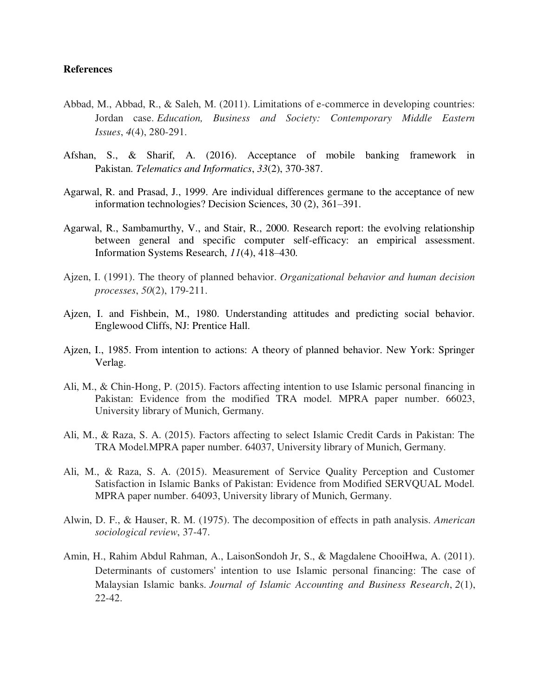## **References**

- Abbad, M., Abbad, R., & Saleh, M. (2011). Limitations of e-commerce in developing countries: Jordan case. *Education, Business and Society: Contemporary Middle Eastern Issues*, *4*(4), 280-291.
- Afshan, S., & Sharif, A. (2016). Acceptance of mobile banking framework in Pakistan. *Telematics and Informatics*, *33*(2), 370-387.
- Agarwal, R. and Prasad, J., 1999. Are individual differences germane to the acceptance of new information technologies? Decision Sciences, 30 (2), 361–391.
- Agarwal, R., Sambamurthy, V., and Stair, R., 2000. Research report: the evolving relationship between general and specific computer self-efficacy: an empirical assessment. Information Systems Research, *11*(4), 418–430.
- Ajzen, I. (1991). The theory of planned behavior. *Organizational behavior and human decision processes*, *50*(2), 179-211.
- Ajzen, I. and Fishbein, M., 1980. Understanding attitudes and predicting social behavior. Englewood Cliffs, NJ: Prentice Hall.
- Ajzen, I., 1985. From intention to actions: A theory of planned behavior. New York: Springer Verlag.
- Ali, M., & Chin-Hong, P. (2015). Factors affecting intention to use Islamic personal financing in Pakistan: Evidence from the modified TRA model. MPRA paper number. 66023, University library of Munich, Germany.
- Ali, M., & Raza, S. A. (2015). Factors affecting to select Islamic Credit Cards in Pakistan: The TRA Model.MPRA paper number. 64037, University library of Munich, Germany.
- Ali, M., & Raza, S. A. (2015). Measurement of Service Quality Perception and Customer Satisfaction in Islamic Banks of Pakistan: Evidence from Modified SERVQUAL Model. MPRA paper number. 64093, University library of Munich, Germany.
- Alwin, D. F., & Hauser, R. M. (1975). The decomposition of effects in path analysis. *American sociological review*, 37-47.
- Amin, H., Rahim Abdul Rahman, A., LaisonSondoh Jr, S., & Magdalene ChooiHwa, A. (2011). Determinants of customers' intention to use Islamic personal financing: The case of Malaysian Islamic banks. *Journal of Islamic Accounting and Business Research*, *2*(1), 22-42.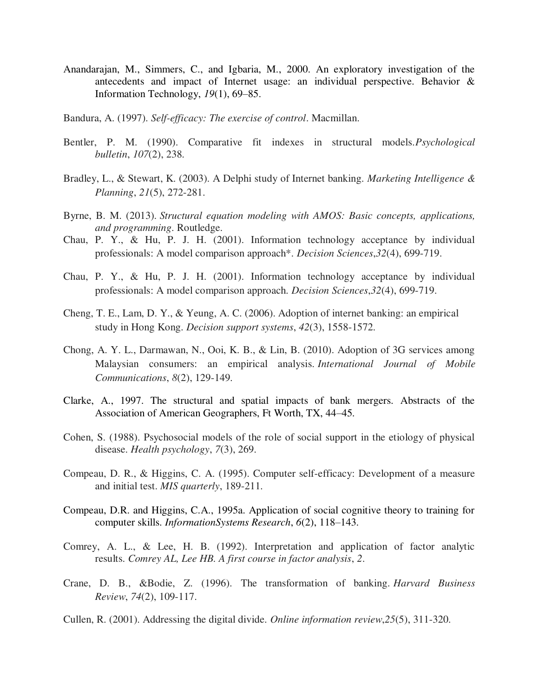- Anandarajan, M., Simmers, C., and Igbaria, M., 2000. An exploratory investigation of the antecedents and impact of Internet usage: an individual perspective. Behavior & Information Technology, *19*(1), 69–85.
- Bandura, A. (1997). *Self-efficacy: The exercise of control*. Macmillan.
- Bentler, P. M. (1990). Comparative fit indexes in structural models.*Psychological bulletin*, *107*(2), 238.
- Bradley, L., & Stewart, K. (2003). A Delphi study of Internet banking. *Marketing Intelligence & Planning*, *21*(5), 272-281.
- Byrne, B. M. (2013). *Structural equation modeling with AMOS: Basic concepts, applications, and programming*. Routledge.
- Chau, P. Y., & Hu, P. J. H. (2001). Information technology acceptance by individual professionals: A model comparison approach\*. *Decision Sciences*,*32*(4), 699-719.
- Chau, P. Y., & Hu, P. J. H. (2001). Information technology acceptance by individual professionals: A model comparison approach. *Decision Sciences*,*32*(4), 699-719.
- Cheng, T. E., Lam, D. Y., & Yeung, A. C. (2006). Adoption of internet banking: an empirical study in Hong Kong. *Decision support systems*, *42*(3), 1558-1572.
- Chong, A. Y. L., Darmawan, N., Ooi, K. B., & Lin, B. (2010). Adoption of 3G services among Malaysian consumers: an empirical analysis. *International Journal of Mobile Communications*, *8*(2), 129-149.
- Clarke, A., 1997. The structural and spatial impacts of bank mergers. Abstracts of the Association of American Geographers, Ft Worth, TX, 44–45.
- Cohen, S. (1988). Psychosocial models of the role of social support in the etiology of physical disease. *Health psychology*, *7*(3), 269.
- Compeau, D. R., & Higgins, C. A. (1995). Computer self-efficacy: Development of a measure and initial test. *MIS quarterly*, 189-211.
- Compeau, D.R. and Higgins, C.A., 1995a. Application of social cognitive theory to training for computer skills. *InformationSystems Research*, *6*(2), 118–143.
- Comrey, A. L., & Lee, H. B. (1992). Interpretation and application of factor analytic results. *Comrey AL, Lee HB. A first course in factor analysis*, *2*.
- Crane, D. B., &Bodie, Z. (1996). The transformation of banking. *Harvard Business Review*, *74*(2), 109-117.
- Cullen, R. (2001). Addressing the digital divide. *Online information review*,*25*(5), 311-320.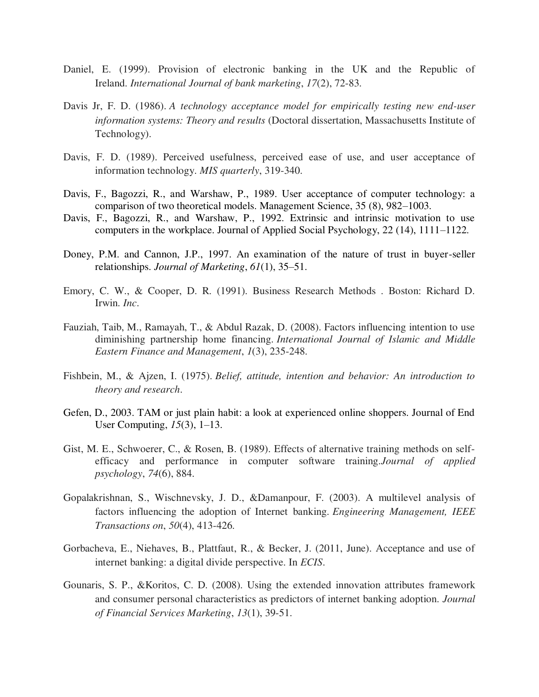- Daniel, E. (1999). Provision of electronic banking in the UK and the Republic of Ireland. *International Journal of bank marketing*, *17*(2), 72-83.
- Davis Jr, F. D. (1986). A technology acceptance model for empirically testing new end-user  *information systems: Theory and results* (Doctoral dissertation, Massachusetts Institute of Technology).
- Davis, F. D. (1989). Perceived usefulness, perceived ease of use, and user acceptance of information technology. *MIS quarterly*, 319-340.
- Davis, F., Bagozzi, R., and Warshaw, P., 1989. User acceptance of computer technology: a comparison of two theoretical models. Management Science, 35 (8), 982–1003.
- Davis, F., Bagozzi, R., and Warshaw, P., 1992. Extrinsic and intrinsic motivation to use computers in the workplace. Journal of Applied Social Psychology, 22 (14), 1111–1122.
- Doney, P.M. and Cannon, J.P., 1997. An examination of the nature of trust in buyer-seller relationships. *Journal of Marketing*, *61*(1), 35–51.
- Emory, C. W., & Cooper, D. R. (1991). Business Research Methods . Boston: Richard D. Irwin. *Inc*.
- Fauziah, Taib, M., Ramayah, T., & Abdul Razak, D. (2008). Factors influencing intention to use diminishing partnership home financing. *International Journal of Islamic and Middle Eastern Finance and Management*, *1*(3), 235-248.
- Fishbein, M., & Ajzen, I. (1975). *Belief, attitude, intention and behavior: An introduction to theory and research*.
- Gefen, D., 2003. TAM or just plain habit: a look at experienced online shoppers. Journal of End User Computing, *15*(3), 1–13.
- Gist, M. E., Schwoerer, C., & Rosen, B. (1989). Effects of alternative training methods on self efficacy and performance in computer software training.*Journal of applied psychology*, *74*(6), 884.
- Gopalakrishnan, S., Wischnevsky, J. D., &Damanpour, F. (2003). A multilevel analysis of factors influencing the adoption of Internet banking. *Engineering Management, IEEE Transactions on*, *50*(4), 413-426.
- Gorbacheva, E., Niehaves, B., Plattfaut, R., & Becker, J. (2011, June). Acceptance and use of internet banking: a digital divide perspective. In *ECIS*.
- Gounaris, S. P., &Koritos, C. D. (2008). Using the extended innovation attributes framework and consumer personal characteristics as predictors of internet banking adoption. *Journal of Financial Services Marketing*, *13*(1), 39-51.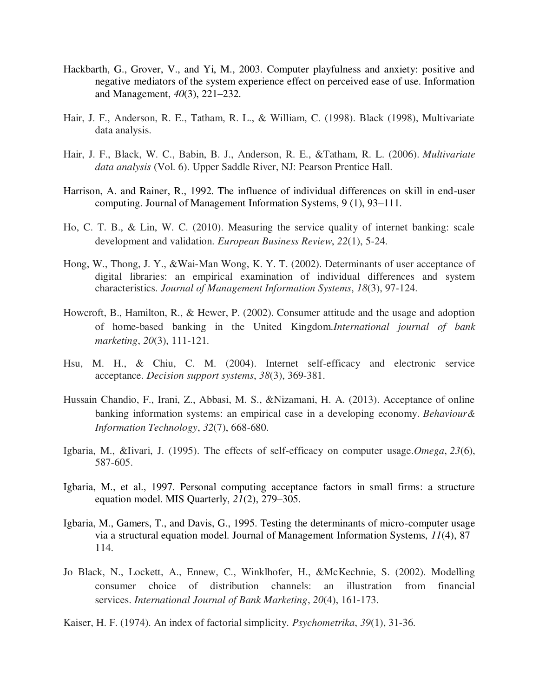- Hackbarth, G., Grover, V., and Yi, M., 2003. Computer playfulness and anxiety: positive and negative mediators of the system experience effect on perceived ease of use. Information and Management, *40*(3), 221–232.
- Hair, J. F., Anderson, R. E., Tatham, R. L., & William, C. (1998). Black (1998), Multivariate data analysis.
- Hair, J. F., Black, W. C., Babin, B. J., Anderson, R. E., &Tatham, R. L. (2006). *Multivariate data analysis* (Vol. 6). Upper Saddle River, NJ: Pearson Prentice Hall.
- Harrison, A. and Rainer, R., 1992. The influence of individual differences on skill in end-user computing. Journal of Management Information Systems, 9 (1), 93–111.
- Ho, C. T. B., & Lin, W. C. (2010). Measuring the service quality of internet banking: scale development and validation. *European Business Review*, *22*(1), 5-24.
- Hong, W., Thong, J. Y., &Wai-Man Wong, K. Y. T. (2002). Determinants of user acceptance of digital libraries: an empirical examination of individual differences and system characteristics. *Journal of Management Information Systems*, *18*(3), 97-124.
- Howcroft, B., Hamilton, R., & Hewer, P. (2002). Consumer attitude and the usage and adoption of home-based banking in the United Kingdom.*International journal of bank marketing*, *20*(3), 111-121.
- Hsu, M. H., & Chiu, C. M. (2004). Internet self-efficacy and electronic service acceptance. *Decision support systems*, *38*(3), 369-381.
- Hussain Chandio, F., Irani, Z., Abbasi, M. S., &Nizamani, H. A. (2013). Acceptance of online banking information systems: an empirical case in a developing economy. *Behaviour& Information Technology*, *32*(7), 668-680.
- Igbaria, M., &Iivari, J. (1995). The effects of self-efficacy on computer usage.*Omega*, *23*(6), 587-605.
- Igbaria, M., et al., 1997. Personal computing acceptance factors in small firms: a structure equation model. MIS Quarterly, *21*(2), 279–305.
- Igbaria, M., Gamers, T., and Davis, G., 1995. Testing the determinants of micro-computer usage via a structural equation model. Journal of Management Information Systems, *11*(4), 87– 114.
- Jo Black, N., Lockett, A., Ennew, C., Winklhofer, H., &McKechnie, S. (2002). Modelling consumer choice of distribution channels: an illustration from financial services. *International Journal of Bank Marketing*, *20*(4), 161-173.
- Kaiser, H. F. (1974). An index of factorial simplicity. *Psychometrika*, *39*(1), 31-36.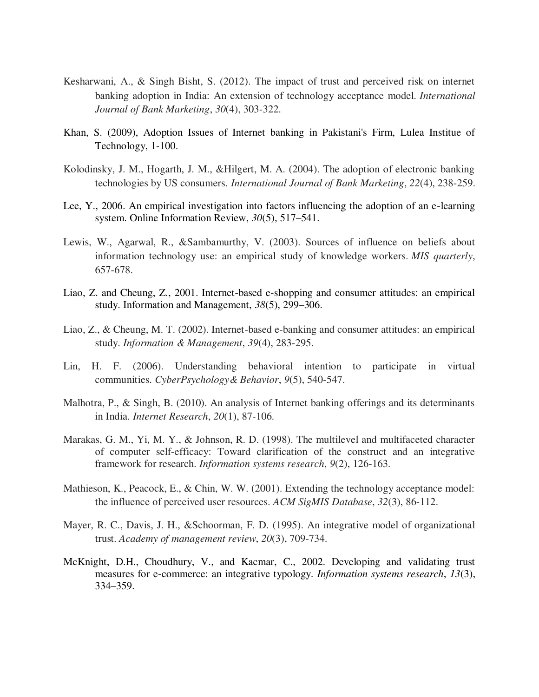- Kesharwani, A., & Singh Bisht, S. (2012). The impact of trust and perceived risk on internet banking adoption in India: An extension of technology acceptance model. *International Journal of Bank Marketing*, *30*(4), 303-322.
- Khan, S. (2009), Adoption Issues of Internet banking in Pakistani's Firm, Lulea Institue of Technology, 1-100.
- Kolodinsky, J. M., Hogarth, J. M., &Hilgert, M. A. (2004). The adoption of electronic banking technologies by US consumers. *International Journal of Bank Marketing*, *22*(4), 238-259.
- Lee, Y., 2006. An empirical investigation into factors influencing the adoption of an e-learning system. Online Information Review, *30*(5), 517–541.
- Lewis, W., Agarwal, R., &Sambamurthy, V. (2003). Sources of influence on beliefs about information technology use: an empirical study of knowledge workers. *MIS quarterly*, 657-678.
- Liao, Z. and Cheung, Z., 2001. Internet-based e-shopping and consumer attitudes: an empirical study. Information and Management, *38*(5), 299–306.
- Liao, Z., & Cheung, M. T. (2002). Internet-based e-banking and consumer attitudes: an empirical study. *Information & Management*, *39*(4), 283-295.
- Lin, H. F. (2006). Understanding behavioral intention to participate in virtual communities. *CyberPsychology& Behavior*, *9*(5), 540-547.
- Malhotra, P., & Singh, B. (2010). An analysis of Internet banking offerings and its determinants in India. *Internet Research*, *20*(1), 87-106.
- Marakas, G. M., Yi, M. Y., & Johnson, R. D. (1998). The multilevel and multifaceted character of computer self-efficacy: Toward clarification of the construct and an integrative framework for research. *Information systems research*, *9*(2), 126-163.
- Mathieson, K., Peacock, E., & Chin, W. W. (2001). Extending the technology acceptance model: the influence of perceived user resources. *ACM SigMIS Database*, *32*(3), 86-112.
- Mayer, R. C., Davis, J. H., &Schoorman, F. D. (1995). An integrative model of organizational trust. *Academy of management review*, *20*(3), 709-734.
- McKnight, D.H., Choudhury, V., and Kacmar, C., 2002. Developing and validating trust measures for e-commerce: an integrative typology. *Information systems research*, *13*(3), 334–359.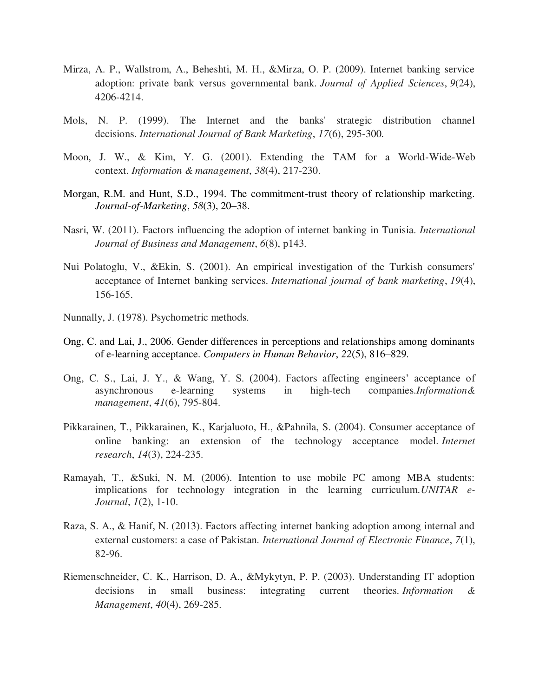- Mirza, A. P., Wallstrom, A., Beheshti, M. H., &Mirza, O. P. (2009). Internet banking service adoption: private bank versus governmental bank. *Journal of Applied Sciences*, *9*(24), 4206-4214.
- Mols, N. P. (1999). The Internet and the banks' strategic distribution channel decisions. *International Journal of Bank Marketing*, *17*(6), 295-300.
- Moon, J. W., & Kim, Y. G. (2001). Extending the TAM for a World-Wide-Web context. *Information & management*, *38*(4), 217-230.
- Morgan, R.M. and Hunt, S.D., 1994. The commitment-trust theory of relationship marketing. *Journal-of-Marketing*, *58*(3), 20–38.
- Nasri, W. (2011). Factors influencing the adoption of internet banking in Tunisia. *International Journal of Business and Management*, *6*(8), p143.
- Nui Polatoglu, V., &Ekin, S. (2001). An empirical investigation of the Turkish consumers' acceptance of Internet banking services. *International journal of bank marketing*, *19*(4), 156-165.
- Nunnally, J. (1978). Psychometric methods.
- Ong, C. and Lai, J., 2006. Gender differences in perceptions and relationships among dominants of e-learning acceptance. *Computers in Human Behavior*, *22*(5), 816–829.
- Ong, C. S., Lai, J. Y., & Wang, Y. S. (2004). Factors affecting engineers' acceptance of asynchronous e-learning systems in high-tech companies.*Information& management*, *41*(6), 795-804.
- Pikkarainen, T., Pikkarainen, K., Karjaluoto, H., &Pahnila, S. (2004). Consumer acceptance of online banking: an extension of the technology acceptance model. *Internet research*, *14*(3), 224-235.
- Ramayah, T., &Suki, N. M. (2006). Intention to use mobile PC among MBA students: implications for technology integration in the learning curriculum.*UNITAR e- Journal*, *1*(2), 1-10.
- Raza, S. A., & Hanif, N. (2013). Factors affecting internet banking adoption among internal and external customers: a case of Pakistan. *International Journal of Electronic Finance*, *7*(1), 82-96.
- Riemenschneider, C. K., Harrison, D. A., &Mykytyn, P. P. (2003). Understanding IT adoption decisions in small business: integrating current theories. *Information & Management*, *40*(4), 269-285.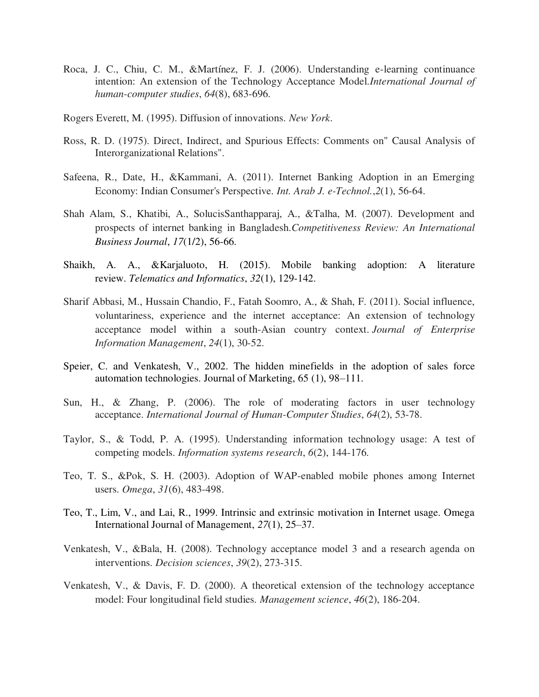- Roca, J. C., Chiu, C. M., &Martínez, F. J. (2006). Understanding e-learning continuance intention: An extension of the Technology Acceptance Model.*International Journal of human-computer studies*, *64*(8), 683-696.
- Rogers Everett, M. (1995). Diffusion of innovations. *New York*.
- Ross, R. D. (1975). Direct, Indirect, and Spurious Effects: Comments on" Causal Analysis of Interorganizational Relations".
- Safeena, R., Date, H., &Kammani, A. (2011). Internet Banking Adoption in an Emerging Economy: Indian Consumer's Perspective. *Int. Arab J. e-Technol.*,*2*(1), 56-64.
- Shah Alam, S., Khatibi, A., SolucisSanthapparaj, A., &Talha, M. (2007). Development and prospects of internet banking in Bangladesh.*Competitiveness Review: An International Business Journal*, *17*(1/2), 56-66.
- Shaikh, A. A., &Karjaluoto, H. (2015). Mobile banking adoption: A literature review. *Telematics and Informatics*, *32*(1), 129-142.
- Sharif Abbasi, M., Hussain Chandio, F., Fatah Soomro, A., & Shah, F. (2011). Social influence, voluntariness, experience and the internet acceptance: An extension of technology acceptance model within a south-Asian country context. *Journal of Enterprise Information Management*, *24*(1), 30-52.
- Speier, C. and Venkatesh, V., 2002. The hidden minefields in the adoption of sales force automation technologies. Journal of Marketing, 65 (1), 98–111.
- Sun, H., & Zhang, P. (2006). The role of moderating factors in user technology acceptance. *International Journal of Human-Computer Studies*, *64*(2), 53-78.
- Taylor, S., & Todd, P. A. (1995). Understanding information technology usage: A test of competing models. *Information systems research*, *6*(2), 144-176.
- Teo, T. S., &Pok, S. H. (2003). Adoption of WAP-enabled mobile phones among Internet users. *Omega*, *31*(6), 483-498.
- Teo, T., Lim, V., and Lai, R., 1999. Intrinsic and extrinsic motivation in Internet usage. Omega International Journal of Management, *27*(1), 25–37.
- Venkatesh, V., &Bala, H. (2008). Technology acceptance model 3 and a research agenda on interventions. *Decision sciences*, *39*(2), 273-315.
- Venkatesh, V., & Davis, F. D. (2000). A theoretical extension of the technology acceptance model: Four longitudinal field studies. *Management science*, *46*(2), 186-204.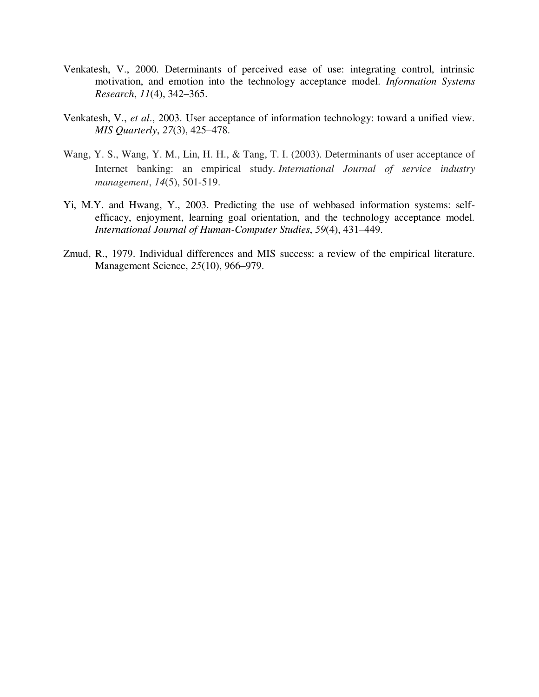- Venkatesh, V., 2000. Determinants of perceived ease of use: integrating control, intrinsic motivation, and emotion into the technology acceptance model. *Information Systems Research*, *11*(4), 342–365.
- Venkatesh, V., *et al*., 2003. User acceptance of information technology: toward a unified view. *MIS Quarterly*, *27*(3), 425–478.
- Wang, Y. S., Wang, Y. M., Lin, H. H., & Tang, T. I. (2003). Determinants of user acceptance of Internet banking: an empirical study. *International Journal of service industry management*, *14*(5), 501-519.
- Yi, M.Y. and Hwang, Y., 2003. Predicting the use of webbased information systems: self efficacy, enjoyment, learning goal orientation, and the technology acceptance model. *International Journal of Human-Computer Studies*, *59*(4), 431–449.
- Zmud, R., 1979. Individual differences and MIS success: a review of the empirical literature. Management Science, *25*(10), 966–979.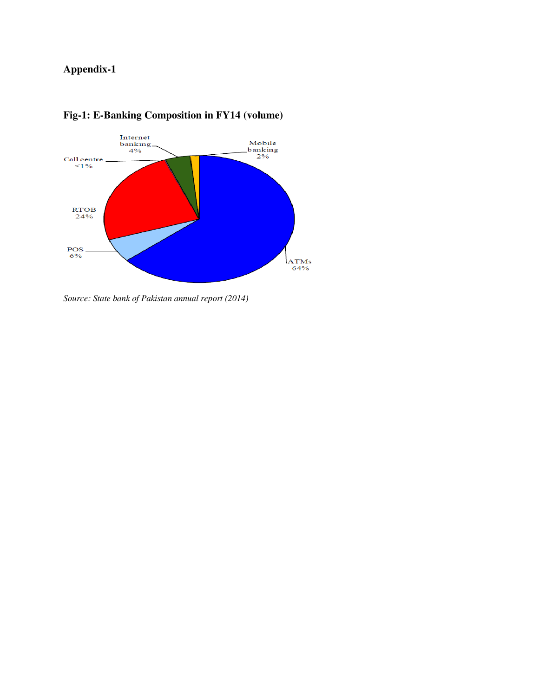# **Appendix-1**



## **Fig-1: E-Banking Composition in FY14 (volume)**

*Source: State bank of Pakistan annual report (2014)*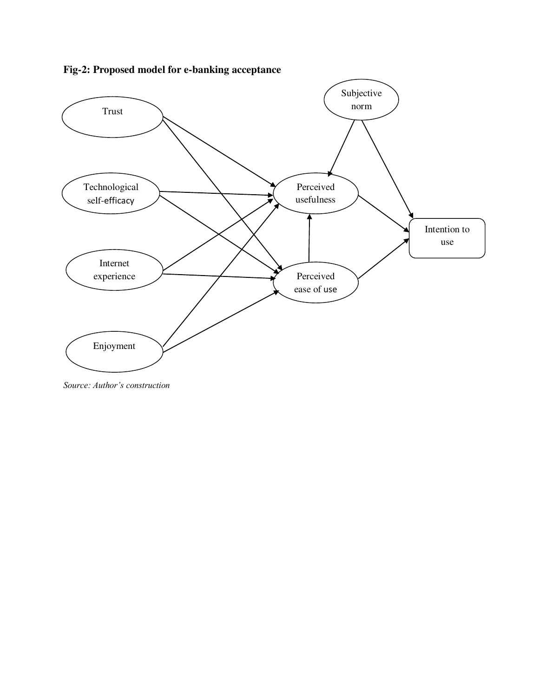

**Fig-2: Proposed model for e-banking acceptance** 

*Source: Author's construction*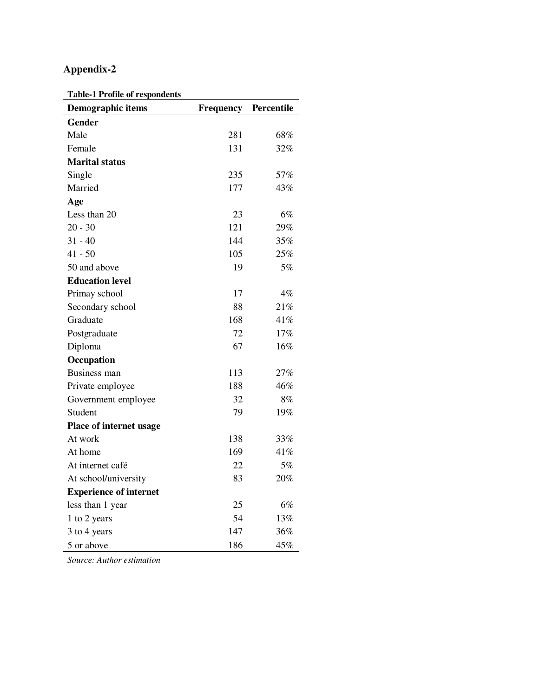# **Appendix-2**

**Table-1 Profile of respondents** 

| Demographic items             | Frequency | Percentile |
|-------------------------------|-----------|------------|
| <b>Gender</b>                 |           |            |
| Male                          | 281       | 68%        |
| Female                        | 131       | 32%        |
| <b>Marital status</b>         |           |            |
| Single                        | 235       | 57%        |
| Married                       | 177       | 43%        |
| Age                           |           |            |
| Less than 20                  | 23        | 6%         |
| $20 - 30$                     | 121       | 29%        |
| $31 - 40$                     | 144       | 35%        |
| $41 - 50$                     | 105       | 25%        |
| 50 and above                  | 19        | 5%         |
| <b>Education level</b>        |           |            |
| Primay school                 | 17        | 4%         |
| Secondary school              | 88        | 21%        |
| Graduate                      | 168       | 41%        |
| Postgraduate                  | 72        | 17%        |
| Diploma                       | 67        | 16%        |
| Occupation                    |           |            |
| <b>Business man</b>           | 113       | 27%        |
| Private employee              | 188       | 46%        |
| Government employee           | 32        | 8%         |
| Student                       | 79        | 19%        |
| Place of internet usage       |           |            |
| At work                       | 138       | 33%        |
| At home                       | 169       | 41%        |
| At internet café              | 22        | 5%         |
| At school/university          | 83        | 20%        |
| <b>Experience of internet</b> |           |            |
| less than 1 year              | 25        | 6%         |
| 1 to 2 years                  | 54        | 13%        |
| 3 to 4 years                  | 147       | 36%        |
| 5 or above                    | 186       | 45%        |

*Source: Author estimation*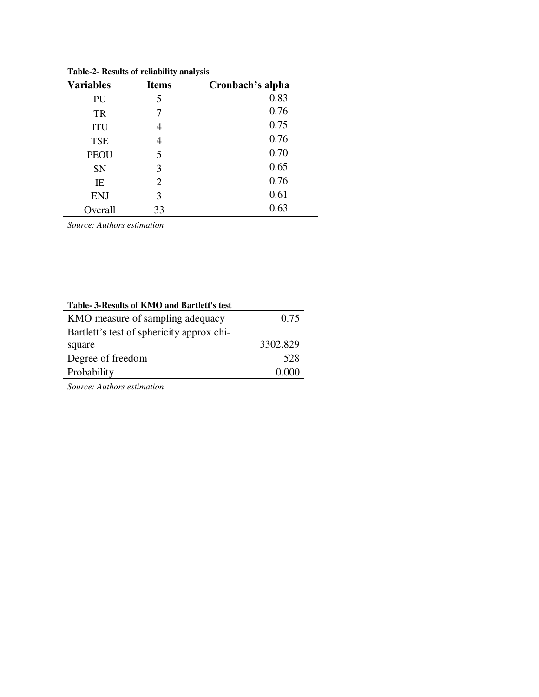| Table-2- Results of Fellability analysis |                |                  |  |  |  |
|------------------------------------------|----------------|------------------|--|--|--|
| <b>Variables</b>                         | <b>Items</b>   | Cronbach's alpha |  |  |  |
| PU                                       | 5              | 0.83             |  |  |  |
| <b>TR</b>                                |                | 0.76             |  |  |  |
| <b>ITU</b>                               | 4              | 0.75             |  |  |  |
| <b>TSE</b>                               |                | 0.76             |  |  |  |
| <b>PEOU</b>                              | 5              | 0.70             |  |  |  |
| SN                                       | 3              | 0.65             |  |  |  |
| IE                                       | $\overline{2}$ | 0.76             |  |  |  |
| <b>ENJ</b>                               | 3              | 0.61             |  |  |  |
| Overall                                  | 33             | 0.63             |  |  |  |

**Table-2- Results of reliability analysis** 

*Source: Authors estimation* 

| Table-3-Results of KMO and Bartlett's test |          |
|--------------------------------------------|----------|
| KMO measure of sampling adequacy           | 0.75     |
| Bartlett's test of sphericity approx chi-  |          |
| square                                     | 3302.829 |
| Degree of freedom                          | 528      |
| Probability                                | (0.000)  |

*Source: Authors estimation*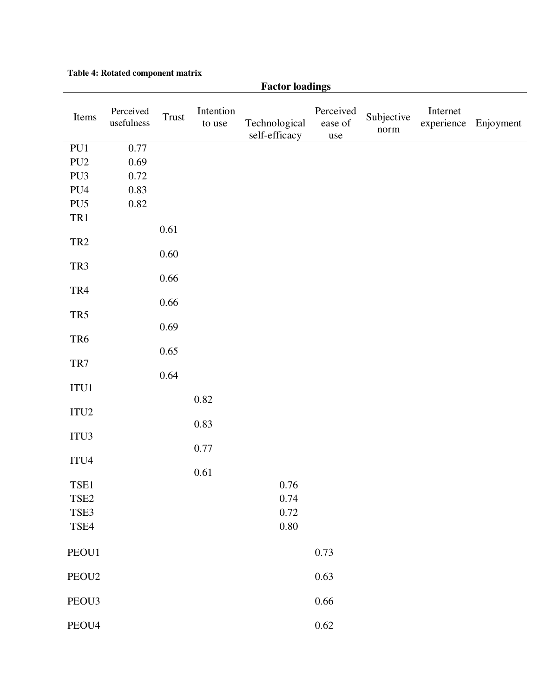|                   |                         |                  |                     | <b>Factor loadings</b>         |                             |                    |          |                      |
|-------------------|-------------------------|------------------|---------------------|--------------------------------|-----------------------------|--------------------|----------|----------------------|
| Items             | Perceived<br>usefulness | Trust            | Intention<br>to use | Technological<br>self-efficacy | Perceived<br>ease of<br>use | Subjective<br>norm | Internet | experience Enjoyment |
| PU1               | 0.77                    |                  |                     |                                |                             |                    |          |                      |
| PU <sub>2</sub>   | 0.69                    |                  |                     |                                |                             |                    |          |                      |
| PU3               | 0.72                    |                  |                     |                                |                             |                    |          |                      |
| PU4               | 0.83                    |                  |                     |                                |                             |                    |          |                      |
| PU <sub>5</sub>   | 0.82                    |                  |                     |                                |                             |                    |          |                      |
| TR1               |                         |                  |                     |                                |                             |                    |          |                      |
| TR <sub>2</sub>   |                         | 0.61<br>$0.60\,$ |                     |                                |                             |                    |          |                      |
| TR3               |                         |                  |                     |                                |                             |                    |          |                      |
| TR4               |                         | 0.66             |                     |                                |                             |                    |          |                      |
| TR5               |                         | $0.66\,$         |                     |                                |                             |                    |          |                      |
| TR6               |                         | 0.69             |                     |                                |                             |                    |          |                      |
| TR7               |                         | 0.65             |                     |                                |                             |                    |          |                      |
| $\rm ITU1$        |                         | 0.64             |                     |                                |                             |                    |          |                      |
| ITU <sub>2</sub>  |                         |                  | 0.82                |                                |                             |                    |          |                      |
| ITU3              |                         |                  | 0.83                |                                |                             |                    |          |                      |
| ITU4              |                         |                  | 0.77                |                                |                             |                    |          |                      |
| TSE1              |                         |                  | 0.61                | $0.76\,$                       |                             |                    |          |                      |
| TSE <sub>2</sub>  |                         |                  |                     | 0.74                           |                             |                    |          |                      |
| TSE3              |                         |                  |                     | 0.72                           |                             |                    |          |                      |
| TSE4              |                         |                  |                     | $0.80\,$                       |                             |                    |          |                      |
| PEOU1             |                         |                  |                     |                                | 0.73                        |                    |          |                      |
| PEOU <sub>2</sub> |                         |                  |                     |                                | 0.63                        |                    |          |                      |
| PEOU3             |                         |                  |                     |                                | $0.66\,$                    |                    |          |                      |
| PEOU4             |                         |                  |                     |                                | $0.62\,$                    |                    |          |                      |

## **Table 4: Rotated component matrix**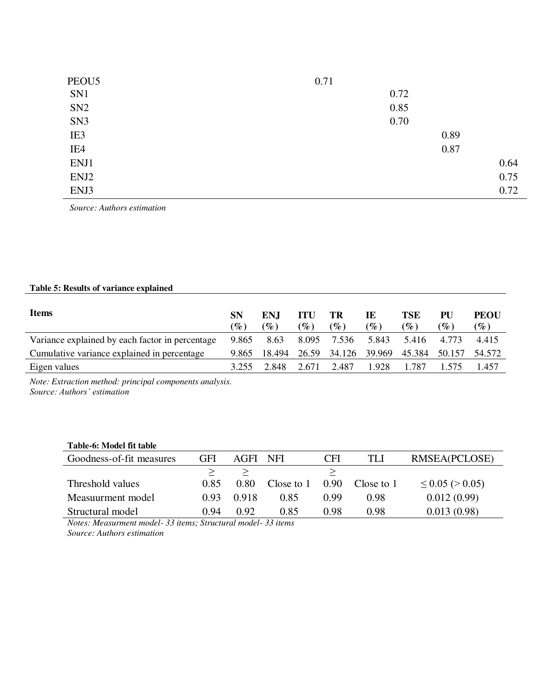| PEOU <sub>5</sub> | 0.71 |
|-------------------|------|
| SN1               | 0.72 |
| SN <sub>2</sub>   | 0.85 |
| SN <sub>3</sub>   | 0.70 |
| IE3               | 0.89 |
| IE4               | 0.87 |
| ENJ1              | 0.64 |
| ENJ2              | 0.75 |
| ENJ3              | 0.72 |

 *Source: Authors estimation* 

## **Table 5: Results of variance explained**

| <b>Items</b>                                    | <b>SN</b><br>$(\%)$ | ENI<br>$(\%)$ | ITU<br>$\mathscr{G}_o$ ) | TR<br>$(\%)$        | IE<br>$\mathscr{G}_{\bm{c}}$ ) | TSE<br>$(\%)$ | PU<br>$\mathscr{D}_{\!\!\mathit{c}}$ | PEOU<br>$(\%)$ |
|-------------------------------------------------|---------------------|---------------|--------------------------|---------------------|--------------------------------|---------------|--------------------------------------|----------------|
| Variance explained by each factor in percentage | 9.865               | 8.63          | 8.095                    | 7.536               | 5.843                          | 5.416         | 4.773                                | 4.415          |
| Cumulative variance explained in percentage     | 9.865               | 18.494        |                          | 26.59 34.126 39.969 |                                | 45.384        | 50.157                               | 54.572         |
| Eigen values                                    |                     | 2.848         | 2.671                    | 2.487               | 1.928                          | .787          |                                      | .457           |

*Note: Extraction method: principal components analysis. Source: Authors' estimation*

| Table-6: Model fit table |      |       |            |                   |            |                         |
|--------------------------|------|-------|------------|-------------------|------------|-------------------------|
| Goodness-of-fit measures | GFI  | AGFI  | NFI        | <b>CFI</b>        | TLI        | RMSEA(PCLOSE)           |
|                          |      |       |            |                   |            |                         |
| Threshold values         | 0.85 | 0.80  | Close to 1 | 0.90 <sub>1</sub> | Close to 1 | $\leq$ 0.05 ( $>$ 0.05) |
| Measuurment model        | 0.93 | 0.918 | 0.85       | 0.99              | 0.98       | 0.012(0.99)             |
| Structural model         | 0.94 | 0.92  | 0.85       | 0.98              | 0.98       | 0.013(0.98)             |

*Notes: Measurment model- 33 items; Structural model- 33 items Source: Authors estimation*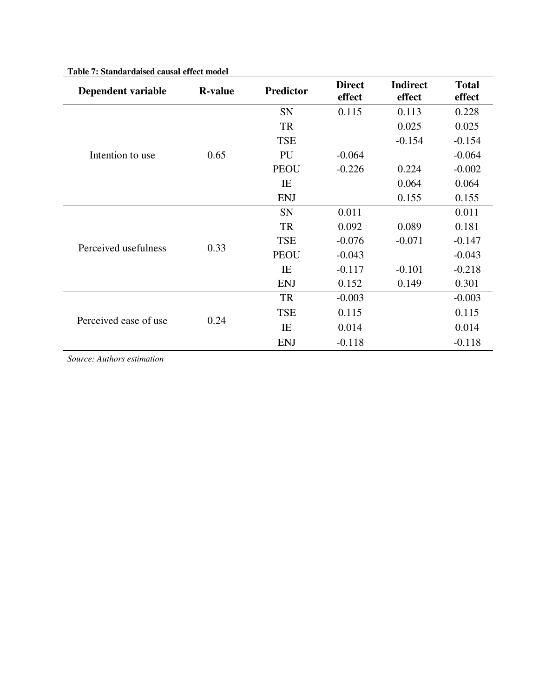| Dependent variable    | <b>R-value</b> | <b>Predictor</b> | <b>Direct</b><br>effect | <b>Indirect</b><br>effect | <b>Total</b><br>effect |
|-----------------------|----------------|------------------|-------------------------|---------------------------|------------------------|
|                       |                | <b>SN</b>        | 0.115                   | 0.113                     | 0.228                  |
|                       |                | TR               |                         | 0.025                     | 0.025                  |
|                       |                | <b>TSE</b>       |                         | $-0.154$                  | $-0.154$               |
| Intention to use      | 0.65           | PU               | $-0.064$                |                           | $-0.064$               |
|                       |                | <b>PEOU</b>      | $-0.226$                | 0.224                     | $-0.002$               |
|                       |                | IE               |                         | 0.064                     | 0.064                  |
|                       |                | <b>ENJ</b>       |                         | 0.155                     | 0.155                  |
|                       |                | SN               | 0.011                   |                           | 0.011                  |
|                       | 0.33           | <b>TR</b>        | 0.092                   | 0.089                     | 0.181                  |
| Perceived usefulness  |                | <b>TSE</b>       | $-0.076$                | $-0.071$                  | $-0.147$               |
|                       |                | <b>PEOU</b>      | $-0.043$                |                           | $-0.043$               |
|                       |                | IE               | $-0.117$                | $-0.101$                  | $-0.218$               |
|                       |                | <b>ENJ</b>       | 0.152                   | 0.149                     | 0.301                  |
|                       |                | <b>TR</b>        | $-0.003$                |                           | $-0.003$               |
|                       |                | <b>TSE</b>       | 0.115                   |                           | 0.115                  |
| Perceived ease of use | 0.24           | IE               | 0.014                   |                           | 0.014                  |
|                       |                | <b>ENJ</b>       | $-0.118$                |                           | $-0.118$               |

#### **Table 7: Standardaised causal effect model**

*Source: Authors estimation*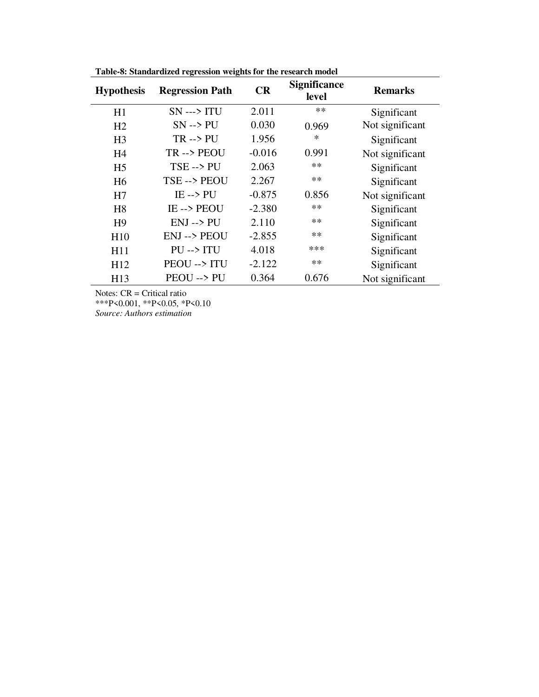| <b>Hypothesis</b> | <b>Regression Path</b> | CR       | <b>Significance</b><br>level | <b>Remarks</b>  |
|-------------------|------------------------|----------|------------------------------|-----------------|
| H1                | $SN \rightarrow TV$    | 2.011    | $**$                         | Significant     |
| H2                | $SN \rightarrow PU$    | 0.030    | 0.969                        | Not significant |
| H <sub>3</sub>    | $TR \rightarrow PU$    | 1.956    | $\ast$                       | Significant     |
| H <sub>4</sub>    | TR --> PEOU            | $-0.016$ | 0.991                        | Not significant |
| H <sub>5</sub>    | $TSE \rightarrow PU$   | 2.063    | $**$                         | Significant     |
| H <sub>6</sub>    | TSE --> PEOU           | 2.267    | $**$                         | Significant     |
| H7                | $IE \rightarrow PU$    | $-0.875$ | 0.856                        | Not significant |
| H <sub>8</sub>    | IE--> PEOU             | $-2.380$ | $**$                         | Significant     |
| H <sup>9</sup>    | $ENJ \rightarrow PU$   | 2.110    | $**$                         | Significant     |
| H10               | <b>ENJ --&gt; PEOU</b> | $-2.855$ | $**$                         | Significant     |
| H11               | $PU \rightarrow ITU$   | 4.018    | ***                          | Significant     |
| H12               | PEOU --> ITU           | $-2.122$ | $**$                         | Significant     |
| H13               | PEOU --> PU            | 0.364    | 0.676                        | Not significant |

**Table-8: Standardized regression weights for the research model** 

Notes: CR = Critical ratio \*\*\*P<0.001, \*\*P<0.05, \*P<0.10 *Source: Authors estimation*